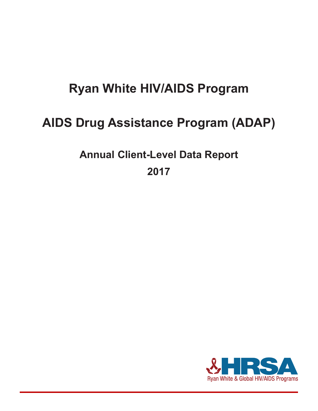# **Ryan White HIV/AIDS Program**

# **AIDS Drug Assistance Program (ADAP)**

**Annual Client-Level Data Report** 

**2017**

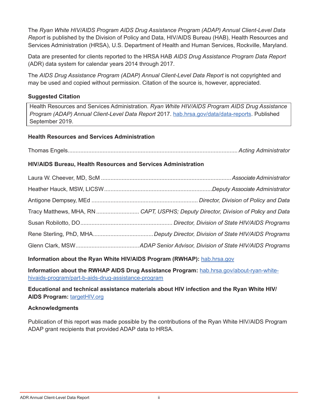The *Ryan White HIV/AIDS Program AIDS Drug Assistance Program (ADAP) Annual Client-Level Data Report* is published by the Division of Policy and Data, HIV/AIDS Bureau (HAB), Health Resources and Services Administration (HRSA), U.S. Department of Health and Human Services, Rockville, Maryland.

Data are presented for clients reported to the HRSA HAB *AIDS Drug Assistance Program Data Report*  (ADR) data system for calendar years 2014 through 2017.

The *AIDS Drug Assistance Program (ADAP) Annual Client-Level Data Report* is not copyrighted and may be used and copied without permission. Citation of the source is, however, appreciated.

### **Suggested Citation**

Health Resources and Services Administration. *Ryan White HIV/AIDS Program AIDS Drug Assistance Program (ADAP) Annual Client-Level Data Report* 2017. [hab.hrsa.gov/data/data-reports.](http://hab.hrsa.gov/data/data-reports) Published September 2019.

#### **Health Resources and Services Administration**

Thomas Engels........................................................................................................... *Acting Administrator*

#### **HIV/AIDS Bureau, Health Resources and Services Administration**

| Tracy Matthews, MHA, RN  CAPT, USPHS; Deputy Director, Division of Policy and Data |
|------------------------------------------------------------------------------------|
|                                                                                    |
|                                                                                    |
|                                                                                    |

**Information about the Ryan White HIV/AIDS Program (RWHAP):** [hab.hrsa.gov](https://hab.hrsa.gov/)

**Information about the RWHAP AIDS Drug Assistance Program:** [hab.hrsa.gov/about-ryan-white](https://hab.hrsa.gov/about-ryan-white-hivaids-program/part-b-aids-drug-assistance-program)[hivaids-program/part-b-aids-drug-assistance-program](https://hab.hrsa.gov/about-ryan-white-hivaids-program/part-b-aids-drug-assistance-program)

**Educational and technical assistance materials about HIV infection and the Ryan White HIV/ AIDS Program:** [targetHIV.org](https://targetHIV.org)

#### **Acknowledgments**

Publication of this report was made possible by the contributions of the Ryan White HIV/AIDS Program ADAP grant recipients that provided ADAP data to HRSA.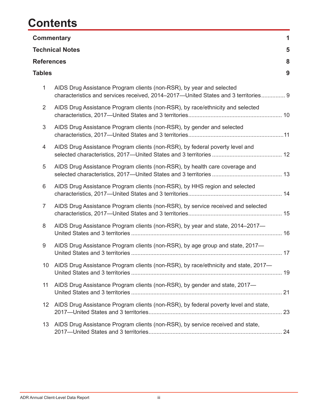# **Contents**

|                   | <b>Commentary</b>                                                                                                                                          | 1 |
|-------------------|------------------------------------------------------------------------------------------------------------------------------------------------------------|---|
|                   | <b>Technical Notes</b>                                                                                                                                     | 5 |
| <b>References</b> |                                                                                                                                                            | 8 |
| <b>Tables</b>     |                                                                                                                                                            | 9 |
| $\mathbf{1}$      | AIDS Drug Assistance Program clients (non-RSR), by year and selected<br>characteristics and services received, 2014–2017–United States and 3 territories 9 |   |
| 2                 | AIDS Drug Assistance Program clients (non-RSR), by race/ethnicity and selected                                                                             |   |
| 3                 | AIDS Drug Assistance Program clients (non-RSR), by gender and selected                                                                                     |   |
| 4                 | AIDS Drug Assistance Program clients (non-RSR), by federal poverty level and                                                                               |   |
| 5                 | AIDS Drug Assistance Program clients (non-RSR), by health care coverage and                                                                                |   |
| 6                 | AIDS Drug Assistance Program clients (non-RSR), by HHS region and selected                                                                                 |   |
| $\overline{7}$    | AIDS Drug Assistance Program clients (non-RSR), by service received and selected                                                                           |   |
| 8                 | AIDS Drug Assistance Program clients (non-RSR), by year and state, 2014–2017–                                                                              |   |
| 9                 | AIDS Drug Assistance Program clients (non-RSR), by age group and state, 2017-                                                                              |   |
|                   | AIDS Drug Assistance Program clients (non-RSR), by race/ethnicity and state, 2017-                                                                         |   |
| 11                | AIDS Drug Assistance Program clients (non-RSR), by gender and state, 2017-                                                                                 |   |
| 12                | AIDS Drug Assistance Program clients (non-RSR), by federal poverty level and state,                                                                        |   |
| 13                | AIDS Drug Assistance Program clients (non-RSR), by service received and state,                                                                             |   |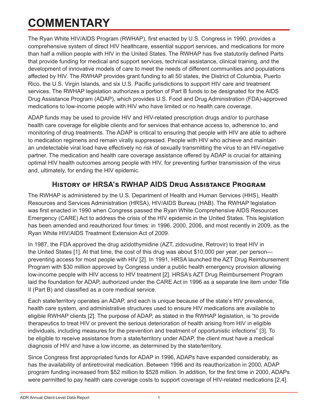# <span id="page-3-0"></span>**COMMENTARY**

The Ryan White HIV/AIDS Program (RWHAP), first enacted by U.S. Congress in 1990, provides a comprehensive system of direct HIV healthcare, essential support services, and medications for more than half a million people with HIV in the United States. The RWHAP has five statutorily defined Parts that provide funding for medical and support services, technical assistance, clinical training, and the development of innovative models of care to meet the needs of different communities and populations affected by HIV. The RWHAP provides grant funding to all 50 states, the District of Columbia, Puerto Rico, the U.S. Virgin Islands, and six U.S. Pacific jurisdictions to support HIV care and treatment services. The RWHAP legislation authorizes a portion of Part B funds to be designated for the AIDS Drug Assistance Program (ADAP), which provides U.S. Food and Drug Administration (FDA)-approved medications to low-income people with HIV who have limited or no health care coverage.

ADAP funds may be used to provide HIV and HIV-related prescription drugs and/or to purchase health care coverage for eligible clients and for services that enhance access to, adherence to, and monitoring of drug treatments. The ADAP is critical to ensuring that people with HIV are able to adhere to medication regimens and remain virally suppressed. People with HIV who achieve and maintain an undetectable viral load have effectively no risk of sexually transmitting the virus to an HIV-negative partner. The medication and health care coverage assistance offered by ADAP is crucial for attaining optimal HIV health outcomes among people with HIV, for preventing further transmission of the virus and, ultimately, for ending the HIV epidemic.

# **History of HRSA's RWHAP AIDS Drug Assistance Program**

The RWHAP is administered by the U.S. Department of Health and Human Services (HHS), Health Resources and Services Administration (HRSA), HIV/AIDS Bureau (HAB). The RWHAP legislation was first enacted in 1990 when Congress passed the Ryan White Comprehensive AIDS Resources Emergency (CARE) Act to address the crisis of the HIV epidemic in the United States. This legislation has been amended and reauthorized four times: in 1996, 2000, 2006, and most recently in 2009, as the Ryan White HIV/AIDS Treatment Extension Act of 2009.

In 1987, the FDA approved the drug azidothymidine (AZT, zidovudine, Retrovir) to treat HIV in the United States [1]. At that time, the cost of this drug was about \$10,000 per year, per person preventing access for most people with HIV [2]. In 1991, HRSA launched the AZT Drug Reimbursement Program with \$30 million approved by Congress under a public health emergency provision allowing low-income people with HIV access to HIV treatment [2]. HRSA's AZT Drug Reimbursement Program laid the foundation for ADAP, authorized under the CARE Act in 1996 as a separate line item under Title II (Part B) and classified as a core medical service.

Each state/territory operates an ADAP, and each is unique because of the state's HIV prevalence, health care system, and administrative structures used to ensure HIV medications are available to eligible RWHAP clients [2]. The purpose of ADAP, as stated in the RWHAP legislation, is "to provide therapeutics to treat HIV or prevent the serious deterioration of health arising from HIV in eligible individuals, including measures for the prevention and treatment of opportunistic infections" [3]. To be eligible to receive assistance from a state/territory under ADAP, the client must have a medical diagnosis of HIV and have a low income, as determined by the state/territory.

Since Congress first appropriated funds for ADAP in 1996, ADAPs have expanded considerably, as has the availability of antiretroviral medication. Between 1996 and its reauthorization in 2000, ADAP program funding increased from \$52 million to \$528 million. In addition, for the first time in 2000, ADAPs were permitted to pay health care coverage costs to support coverage of HIV-related medications [2,4].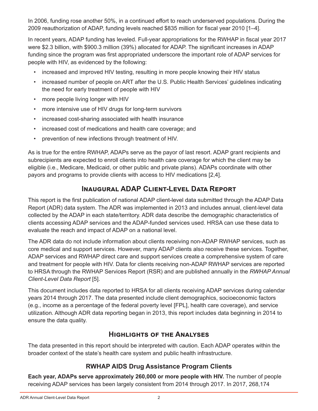In 2006, funding rose another 50%, in a continued effort to reach underserved populations. During the 2009 reauthorization of ADAP, funding levels reached \$835 million for fiscal year 2010 [1–4].

In recent years, ADAP funding has leveled. Full-year appropriations for the RWHAP in fiscal year 2017 were \$2.3 billion, with \$900.3 million (39%) allocated for ADAP. The significant increases in ADAP funding since the program was first appropriated underscore the important role of ADAP services for people with HIV, as evidenced by the following:

- increased and improved HIV testing, resulting in more people knowing their HIV status
- increased number of people on ART after the U.S. Public Health Services' guidelines indicating the need for early treatment of people with HIV
- more people living longer with HIV
- more intensive use of HIV drugs for long-term survivors
- increased cost-sharing associated with health insurance
- increased cost of medications and health care coverage; and
- prevention of new infections through treatment of HIV.

As is true for the entire RWHAP, ADAPs serve as the payor of last resort. ADAP grant recipients and subrecipients are expected to enroll clients into health care coverage for which the client may be eligible (i.e., Medicare, Medicaid, or other public and private plans). ADAPs coordinate with other payors and programs to provide clients with access to HIV medications [2,4].

# **Inaugural ADAP Client-Level Data Report**

This report is the first publication of national ADAP client-level data submitted through the ADAP Data Report (ADR) data system. The ADR was implemented in 2013 and includes annual, client-level data collected by the ADAP in each state/territory. ADR data describe the demographic characteristics of clients accessing ADAP services and the ADAP-funded services used. HRSA can use these data to evaluate the reach and impact of ADAP on a national level.

The ADR data do not include information about clients receiving non-ADAP RWHAP services, such as core medical and support services. However, many ADAP clients also receive these services. Together, ADAP services and RWHAP direct care and support services create a comprehensive system of care and treatment for people with HIV. Data for clients receiving non-ADAP RWHAP services are reported to HRSA through the RWHAP Services Report (RSR) and are published annually in the *RWHAP Annual Client-Level Data Report* [5].

This document includes data reported to HRSA for all clients receiving ADAP services during calendar years 2014 through 2017. The data presented include client demographics, socioeconomic factors (e.g., income as a percentage of the federal poverty level [FPL], health care coverage), and service utilization. Although ADR data reporting began in 2013, this report includes data beginning in 2014 to ensure the data quality.

# **Highlights of the Analyses**

The data presented in this report should be interpreted with caution. Each ADAP operates within the broader context of the state's health care system and public health infrastructure.

## **RWHAP AIDS Drug Assistance Program Clients**

**Each year, ADAPs serve approximately 260,000 or more people with HIV.** The number of people receiving ADAP services has been largely consistent from 2014 through 2017. In 2017, 268,174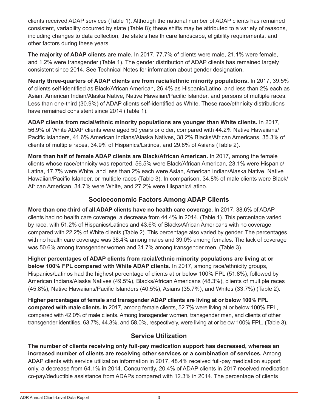clients received ADAP services (Table 1). Although the national number of ADAP clients has remained consistent, variability occurred by state (Table 8); these shifts may be attributed to a variety of reasons, including changes to data collection, the state's health care landscape, eligibility requirements, and other factors during these years.

**The majority of ADAP clients are male.** In 2017, 77.7% of clients were male, 21.1% were female, and 1.2% were transgender (Table 1). The gender distribution of ADAP clients has remained largely consistent since 2014. See Technical Notes for information about gender designation.

**Nearly three-quarters of ADAP clients are from racial/ethnic minority populations.** In 2017, 39.5% of clients self-identified as Black/African American, 26.4% as Hispanic/Latino, and less than 2% each as Asian, American Indian/Alaska Native, Native Hawaiian/Pacific Islander, and persons of multiple races. Less than one-third (30.9%) of ADAP clients self-identified as White. These race/ethnicity distributions have remained consistent since 2014 (Table 1).

**ADAP clients from racial/ethnic minority populations are younger than White clients.** In 2017, 56.9% of White ADAP clients were aged 50 years or older, compared with 44.2% Native Hawaiians/ Pacific Islanders, 41.6% American Indians/Alaska Natives, 38.2% Blacks/African Americans, 35.3% of clients of multiple races, 34.9% of Hispanics/Latinos, and 29.8% of Asians (Table 2).

**More than half of female ADAP clients are Black/African American.** In 2017, among the female clients whose race/ethnicity was reported, 56.5% were Black/African American, 23.1% were Hispanic/ Latina, 17.7% were White, and less than 2% each were Asian, American Indian/Alaska Native, Native Hawaiian/Pacific Islander, or multiple races (Table 3). In comparison, 34.8% of male clients were Black/ African American, 34.7% were White, and 27.2% were Hispanic/Latino.

## **Socioeconomic Factors Among ADAP Clients**

**More than one-third of all ADAP clients have no health care coverage.** In 2017, 38.6% of ADAP clients had no health care coverage, a decrease from 44.4% in 2014. (Table 1). This percentage varied by race, with 51.2% of Hispanics/Latinos and 43.6% of Blacks/African Americans with no coverage compared with 22.2% of White clients (Table 2). This percentage also varied by gender. The percentages with no health care coverage was 38.4% among males and 39.0% among females. The lack of coverage was 50.6% among transgender women and 31.7% among transgender men. (Table 3).

**Higher percentages of ADAP clients from racial/ethnic minority populations are living at or below 100% FPL compared with White ADAP clients.** In 2017, among race/ethnicity groups, Hispanics/Latinos had the highest percentage of clients at or below 100% FPL (51.8%), followed by American Indians/Alaska Natives (49.5%), Blacks/African Americans (48.3%), clients of multiple races (45.8%), Native Hawaiians/Pacific Islanders (40.5%), Asians (35.7%), and Whites (33.7%) (Table 2).

**Higher percentages of female and transgender ADAP clients are living at or below 100% FPL compared with male clients.** In 2017, among female clients, 52.7% were living at or below 100% FPL, compared with 42.0% of male clients. Among transgender women, transgender men, and clients of other transgender identities, 63.7%, 44.3%, and 58.0%, respectively, were living at or below 100% FPL. (Table 3).

## **Service Utilization**

**The number of clients receiving only full-pay medication support has decreased, whereas an increased number of clients are receiving other services or a combination of services.** Among ADAP clients with service utilization information in 2017, 48.4% received full-pay medication support only, a decrease from 64.1% in 2014. Concurrently, 20.4% of ADAP clients in 2017 received medication co-pay/deductible assistance from ADAPs compared with 12.3% in 2014. The percentage of clients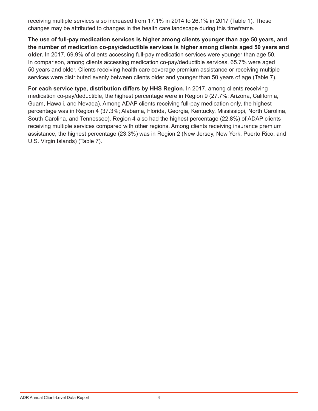receiving multiple services also increased from 17.1% in 2014 to 26.1% in 2017 (Table 1). These changes may be attributed to changes in the health care landscape during this timeframe.

**The use of full-pay medication services is higher among clients younger than age 50 years, and the number of medication co-pay/deductible services is higher among clients aged 50 years and older.** In 2017, 69.9% of clients accessing full-pay medication services were younger than age 50. In comparison, among clients accessing medication co-pay/deductible services, 65.7% were aged 50 years and older. Clients receiving health care coverage premium assistance or receiving multiple services were distributed evenly between clients older and younger than 50 years of age (Table 7).

**For each service type, distribution differs by HHS Region.** In 2017, among clients receiving medication co-pay/deductible, the highest percentage were in Region 9 (27.7%; Arizona, California, Guam, Hawaii, and Nevada). Among ADAP clients receiving full-pay medication only, the highest percentage was in Region 4 (37.3%; Alabama, Florida, Georgia, Kentucky, Mississippi, North Carolina, South Carolina, and Tennessee). Region 4 also had the highest percentage (22.8%) of ADAP clients receiving multiple services compared with other regions. Among clients receiving insurance premium assistance, the highest percentage (23.3%) was in Region 2 (New Jersey, New York, Puerto Rico, and U.S. Virgin Islands) (Table 7).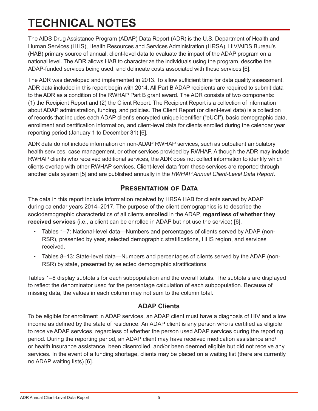# <span id="page-7-0"></span>**TECHNICAL NOTES**

The AIDS Drug Assistance Program (ADAP) Data Report (ADR) is the U.S. Department of Health and Human Services (HHS), Health Resources and Services Administration (HRSA), HIV/AIDS Bureau's (HAB) primary source of annual, client-level data to evaluate the impact of the ADAP program on a national level. The ADR allows HAB to characterize the individuals using the program, describe the ADAP-funded services being used, and delineate costs associated with these services [6].

The ADR was developed and implemented in 2013. To allow sufficient time for data quality assessment, ADR data included in this report begin with 2014. All Part B ADAP recipients are required to submit data to the ADR as a condition of the RWHAP Part B grant award. The ADR consists of two components: (1) the Recipient Report and (2) the Client Report. The Recipient Report is a collection of information about ADAP administration, funding, and policies. The Client Report (or client-level data) is a collection of records that includes each ADAP client's encrypted unique identifier ("eUCI"), basic demographic data, enrollment and certification information, and client-level data for clients enrolled during the calendar year reporting period (January 1 to December 31) [6].

ADR data do not include information on non-ADAP RWHAP services, such as outpatient ambulatory health services, case management, or other services provided by RWHAP. Although the ADR may include RWHAP clients who received additional services, the ADR does not collect information to identify which clients overlap with other RWHAP services. Client-level data from these services are reported through another data system [5] and are published annually in the *RWHAP Annual Client-Level Data Report*.

# **Presentation of Data**

The data in this report include information received by HRSA HAB for clients served by ADAP during calendar years 2014–2017. The purpose of the client demographics is to describe the sociodemographic characteristics of all clients **enrolled** in the ADAP, **regardless of whether they received services** (i.e., a client can be enrolled in ADAP but not use the service) [6].

- Tables 1–7: National-level data—Numbers and percentages of clients served by ADAP (non-RSR), presented by year, selected demographic stratifications, HHS region, and services received.
- Tables 8-13: State-level data—Numbers and percentages of clients served by the ADAP (non-RSR) by state, presented by selected demographic stratifications

Tables 1–8 display subtotals for each subpopulation and the overall totals. The subtotals are displayed to reflect the denominator used for the percentage calculation of each subpopulation. Because of missing data, the values in each column may not sum to the column total.

## **ADAP Clients**

To be eligible for enrollment in ADAP services, an ADAP client must have a diagnosis of HIV and a low income as defined by the state of residence. An ADAP client is any person who is certified as eligible to receive ADAP services, regardless of whether the person used ADAP services during the reporting period. During the reporting period, an ADAP client may have received medication assistance and/ or health insurance assistance, been disenrolled, and/or been deemed eligible but did not receive any services. In the event of a funding shortage, clients may be placed on a waiting list (there are currently no ADAP waiting lists) [6].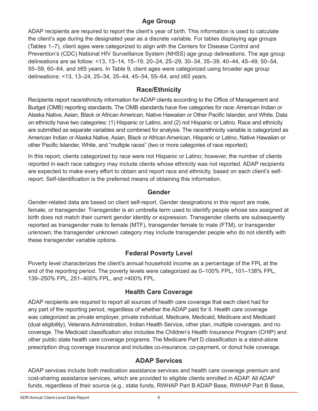# **Age Group**

ADAP recipients are required to report the client's year of birth. This information is used to calculate the client's age during the designated year as a discrete variable. For tables displaying age groups (Tables 1–7), client ages were categorized to align with the Centers for Disease Control and Prevention's (CDC) National HIV Surveillance System (NHSS) age group delineations. The age group delineations are as follow: <13, 13–14, 15–19, 20–24, 25–29, 30–34, 35–39, 40–44, 45–49, 50–54, 55–59, 60–64, and ≥65 years. In Table 9, client ages were categorized using broader age group delineations: <13, 13‒24, 25‒34, 35‒44, 45‒54, 55‒64, and ≥65 years.

## **Race/Ethnicity**

Recipients report race/ethnicity information for ADAP clients according to the Office of Management and Budget (OMB) reporting standards. The OMB standards have five categories for race: American Indian or Alaska Native, Asian, Black or African American, Native Hawaiian or Other Pacific Islander, and White. Data on ethnicity have two categories: (1) Hispanic or Latino, and (2) not Hispanic or Latino. Race and ethnicity are submitted as separate variables and combined for analysis. The race/ethnicity variable is categorized as American Indian or Alaska Native, Asian, Black or African American, Hispanic or Latino, Native Hawaiian or other Pacific Islander, White, and "multiple races" (two or more categories of race reported).

In this report, clients categorized by race were not Hispanic or Latino; however, the number of clients reported in each race category may include clients whose ethnicity was not reported. ADAP recipients are expected to make every effort to obtain and report race and ethnicity, based on each client's selfreport. Self-identification is the preferred means of obtaining this information.

### **Gender**

Gender-related data are based on client self-report. Gender designations in this report are male, female, or transgender. Transgender is an umbrella term used to identify people whose sex assigned at birth does not match their current gender identity or expression. Transgender clients are subsequently reported as transgender male to female (MTF), transgender female to male (FTM), or transgender unknown; the transgender unknown category may include transgender people who do not identify with these transgender variable options.

# **Federal Poverty Level**

Poverty level characterizes the client's annual household income as a percentage of the FPL at the end of the reporting period. The poverty levels were categorized as 0–100% FPL, 101–138% FPL, 139–250% FPL, 251–400% FPL, and >400% FPL.

## **Health Care Coverage**

ADAP recipients are required to report all sources of health care coverage that each client had for any part of the reporting period, regardless of whether the ADAP paid for it. Health care coverage was categorized as private employer, private individual, Medicare, Medicaid, Medicare and Medicaid (dual eligibility), Veterans Administration, Indian Health Service, other plan, multiple coverages, and no coverage. The Medicaid classification also includes the Children's Health Insurance Program (CHIP) and other public state health care coverage programs. The Medicare Part D classification is a stand-alone prescription drug coverage insurance and includes co-insurance, co-payment, or donut hole coverage.

## **ADAP Services**

ADAP services include both medication assistance services and health care coverage premium and cost-sharing assistance services, which are provided to eligible clients enrolled in ADAP. All ADAP funds, regardless of their source (e.g., state funds, RWHAP Part B ADAP Base, RWHAP Part B Base,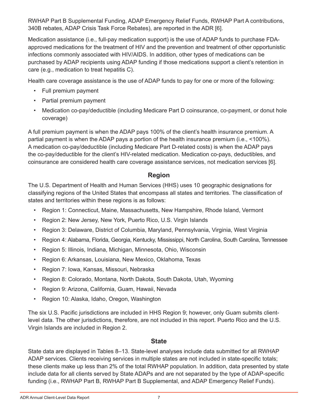RWHAP Part B Supplemental Funding, ADAP Emergency Relief Funds, RWHAP Part A contributions, 340B rebates, ADAP Crisis Task Force Rebates), are reported in the ADR [6].

Medication assistance (i.e., full-pay medication support) is the use of ADAP funds to purchase FDAapproved medications for the treatment of HIV and the prevention and treatment of other opportunistic infections commonly associated with HIV/AIDS. In addition, other types of medications can be purchased by ADAP recipients using ADAP funding if those medications support a client's retention in care (e.g., medication to treat hepatitis C).

Health care coverage assistance is the use of ADAP funds to pay for one or more of the following:

- Full premium payment
- Partial premium payment
- Medication co-pay/deductible (including Medicare Part D coinsurance, co-payment, or donut hole coverage)

A full premium payment is when the ADAP pays 100% of the client's health insurance premium. A partial payment is when the ADAP pays a portion of the health insurance premium (i.e., <100%). A medication co-pay/deductible (including Medicare Part D-related costs) is when the ADAP pays the co-pay/deductible for the client's HIV-related medication. Medication co-pays, deductibles, and coinsurance are considered health care coverage assistance services, not medication services [6].

# **Region**

The U.S. Department of Health and Human Services (HHS) uses 10 geographic designations for classifying regions of the United States that encompass all states and territories. The classification of states and territories within these regions is as follows:

- Region 1: Connecticut, Maine, Massachusetts, New Hampshire, Rhode Island, Vermont
- Region 2: New Jersey, New York, Puerto Rico, U.S. Virgin Islands
- Region 3: Delaware, District of Columbia, Maryland, Pennsylvania, Virginia, West Virginia
- Region 4: Alabama, Florida, Georgia, Kentucky, Mississippi, North Carolina, South Carolina, Tennessee
- Region 5: Illinois, Indiana, Michigan, Minnesota, Ohio, Wisconsin
- Region 6: Arkansas, Louisiana, New Mexico, Oklahoma, Texas
- Region 7: Iowa, Kansas, Missouri, Nebraska
- Region 8: Colorado, Montana, North Dakota, South Dakota, Utah, Wyoming
- Region 9: Arizona, California, Guam, Hawaii, Nevada
- Region 10: Alaska, Idaho, Oregon, Washington

The six U.S. Pacific jurisdictions are included in HHS Region 9; however, only Guam submits clientlevel data. The other jurisdictions, therefore, are not included in this report. Puerto Rico and the U.S. Virgin Islands are included in Region 2.

#### **State**

State data are displayed in Tables 8-13. State-level analyses include data submitted for all RWHAP ADAP services. Clients receiving services in multiple states are not included in state-specific totals; these clients make up less than 2% of the total RWHAP population. In addition, data presented by state include data for all clients served by State ADAPs and are not separated by the type of ADAP-specific funding (i.e., RWHAP Part B, RWHAP Part B Supplemental, and ADAP Emergency Relief Funds).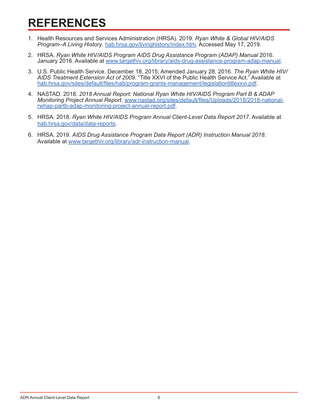# <span id="page-10-0"></span>**REFERENCES**

- 1. Health Resources and Services Administration (HRSA). 2019. *Ryan White & Global HIV/AIDS Program–A Living History*. [hab.hrsa.gov/livinghistory/index.htm](https://hab.hrsa.gov/livinghistory/index.htm). Accessed May 17, 2019.
- 2. HRSA. *Ryan White HIV/AIDS Program AIDS Drug Assistance Program (ADAP) Manual* 2016. January 2016. Available at [www.targethiv.org/library/aids-drug-assistance-program-adap-manual.](http://www.targethiv.org/library/aids-drug-assistance-program-adap-manual)
- 3. U.S. Public Health Service. December 18, 2015; Amended January 28, 2016. *The Ryan White HIV/ AIDS Treatment Extension Act of 2009*. "Title XXVI of the Public Health Service Act." Available at [hab.hrsa.gov/sites/default/files/hab/program-grants-management/legislationtitlexxvi.pdf](https://hab.hrsa.gov/sites/default/files/hab/program-grants-management/legislationtitlexxvi.pdf).
- 4. NASTAD. 2018. *2018 Annual Report: National Ryan White HIV/AIDS Program Part B & ADAP Monitoring Project Annual Report*. [www.nastad.org/sites/default/files/Uploads/2018/2018-national](https://www.nastad.org/sites/default/files/Uploads/2018/2018-national-rwhap-partb-adap-monitoring-project-annual-report.pdf)[rwhap-partb-adap-monitoring-project-annual-report.pdf](https://www.nastad.org/sites/default/files/Uploads/2018/2018-national-rwhap-partb-adap-monitoring-project-annual-report.pdf).
- 5. HRSA. 2018. *Ryan White HIV/AIDS Program Annual Client-Level Data Report 2017*. Available at [hab.hrsa.gov/data/data-reports](http://hab.hrsa.gov/data/data-reports).
- 6. HRSA. 2019. *AIDS Drug Assistance Program Data Report (ADR) Instruction Manual 2018*. Available at [www.targethiv.org/library/adr-instruction-manual.](https://www.targethiv.org/library/adr-instruction-manual)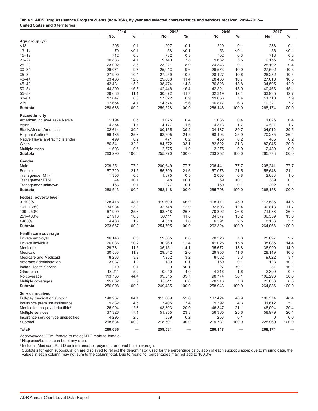<span id="page-11-0"></span>

| Table 1. AIDS Drug Assistance Program clients (non-RSR), by year and selected characteristics and services received, 2014–2017– |  |
|---------------------------------------------------------------------------------------------------------------------------------|--|
| United States and 3 territories                                                                                                 |  |

|                                                 | 2014              |              | 2015              | 2016         |                   | 2017          |                   |               |
|-------------------------------------------------|-------------------|--------------|-------------------|--------------|-------------------|---------------|-------------------|---------------|
|                                                 | No.               | $\%$         | No.               | $\%$         | No.               | $\frac{0}{6}$ | No.               | $\frac{9}{6}$ |
| Age group (yr)                                  |                   |              |                   |              |                   |               |                   |               |
| < 13                                            | 205               | 0.1          | 207               | 0.1          | 229               | 0.1           | 233               | 0.1           |
| $13 - 14$                                       | 70                | < 0.1        | 58                | < 0.1        | 53                | < 0.1         | 56                | < 0.1         |
| $15 - 19$                                       | 712               | 0.3          | 732               | 0.3          | 702               | 0.3           | 718               | 0.3           |
| $20 - 24$                                       | 10,883            | 4.1          | 9,740             | 3.8          | 9,682             | 3.6           | 9,156             | 3.4           |
| $25 - 29$                                       | 23,002            | 8.6          | 23,221            | 8.9          | 24,343            | 9.1           | 25,102            | 9.4           |
| $30 - 34$                                       | 26,071            | 9.7          | 25,013            | 9.6          | 26,573            | 10.0          | 27,592            | 10.3          |
| $35 - 39$                                       | 27,990            | 10.4         | 27,259            | 10.5         | 28,127            | 10.6          | 28,272            | 10.5          |
| $40 - 44$                                       | 33,486            | 12.5         | 29,608            | 11.4         | 28,436            | 10.7          | 27,618            | 10.3          |
| $45 - 49$                                       | 42,431            | 15.8         | 38,474            | 14.8         | 36,828            | 13.8          | 34,595            | 12.9          |
| $50 - 54$                                       | 44,399            | 16.5         | 42,448            | 16.4         | 42,321            | 15.9          | 40,466            | 15.1          |
| $55 - 59$                                       | 29,686            | 11.1         | 30,372            | 11.7         | 32,319            | 12.1          | 33,935            | 12.7          |
| $60 - 64$                                       | 17,047            | 6.3          | 17,822            | 6.9          | 19,656            | 7.4           | 21,110            | 7.9           |
| ≥65                                             | 12,654            | 4.7          | 14,574            | 5.6          | 16,877            | 6.3           | 19,321            | 7.2           |
| <b>Subtotal</b>                                 | 268,636           | 100.0        | 259,528           | 100.0        | 266,146           | 100.0         | 268,174           | 100.0         |
| Race/ethnicity                                  |                   |              |                   |              |                   |               |                   |               |
| American Indian/Alaska Native                   | 1,194             | 0.5          | 1,025             | 0.4          | 1,036             | 0.4           | 1,026             | 0.4           |
| Asian                                           | 4,354             | 1.7          | 4,177             | 1.6          | 4,373             | 1.7           | 4,611             | 1.7           |
| Black/African American                          | 102,614           | 39.0         | 100,155           | 39.2         | 104,487           | 39.7          | 104,912           | 39.5          |
| Hispanic/Latino <sup>a</sup>                    | 66,485            | 25.3         | 62,595            | 24.5         | 68,103            | 25.9          | 70,285            | 26.4          |
| Native Hawaiian/Pacific Islander                | 499               | 0.2          | 471               | 0.2          | 456               | 0.2           | 405               | 0.2           |
| White                                           | 86,541            | 32.9         | 84,672            | 33.1         | 82,522            | 31.3          | 82,045            | 30.9          |
| Multiple races                                  | 1,603             | 0.6          | 2,675             | 1.0          | 2,275             | 0.9           | 2,489             | 0.9           |
| <b>Subtotal</b>                                 | 263,290           | 100.0        | 255,770           | 100.0        | 263,252           | 100.0         | 265,773           | 100.0         |
| Gender                                          |                   |              |                   |              |                   |               |                   |               |
| Male                                            | 209,251           | 77.9         | 200,649           | 77.7         | 206,441           | 77.7          | 208,241           | 77.7          |
| Female                                          | 57,729            | 21.5         | 55.799            | 21.6         | 57,076            | 21.5          | 56,643            | 21.1          |
| <b>Transgender MTF</b>                          | 1,356             | 0.5          | 1,375             | 0.5          | 2,053             | 0.8           | 2,683             | 1.0           |
| Transgender FTM                                 | 44                | < 0.1        | 48                | < 0.1        | 69                | < 0.1         | 389               | 0.1           |
| Transgender unknown                             | 163               | 0.1          | 277               | 0.1          | 159               | 0.1           | 202               | 0.1           |
| <b>Subtotal</b>                                 | 268,543           | 100.0        | 258,148           | 100.0        | 265,798           | 100.0         | 268,158           | 100.0         |
| <b>Federal poverty level</b>                    |                   |              |                   |              |                   |               |                   |               |
| $0 - 100%$                                      | 128,418           | 48.7         | 119,600           | 46.9         | 118,171           | 45.0          | 117,535           | 44.5          |
| 101-138%                                        | 34,984            | 13.3         | 32,748            | 12.9         | 32,593            | 12.4          | 30,818            | 11.7          |
| 139-250%                                        | 67,909            | 25.8         | 68,318            | 26.8         | 70,392            | 26.8          | 71,038            | 26.9          |
| 251-400%                                        | 27,918            | 10.6         | 30,111            | 11.8         | 34,577            | 13.2          | 36,539            | 13.8          |
| >400%                                           | 4,438             | 1.7          | 4,018             | 1.6          | 6,591             | 2.5           | 8,136             | 3.1           |
| <b>Subtotal</b>                                 | 263,667           | 100.0        | 254,795           | 100.0        | 262,324           | 100.0         | 264,066           | 100.0         |
| <b>Health care coverage</b>                     |                   |              |                   |              |                   |               |                   |               |
| Private employer                                | 16,143            | 6.3          | 19,865            | 8.0          | 20,326            | 7.8           | 25,697            | 9.7           |
| Private individual                              | 26,086            | 10.2         | 30,960            | 12.4         | 41,025            | 15.8          | 38,085            | 14.4          |
| Medicare                                        | 29,781            | 11.6         | 35,151            | 14.1         | 35,672            | 13.8          | 36,999            | 14.0          |
| Medicaid                                        | 30,533            | 11.9         | 29,842            | 12.0         | 29,956            | 11.6          | 28,149            | 10.6          |
| Medicare and Medicaid                           | 8,233             | 3.2          | 7,952             | 3.2          | 8,562             | 3.3           | 9,022             | 3.4           |
| Veterans Administration                         | 3,037             | 1.2          | 130               | 0.1          | 169               | 0.1           | 123               | 50.1          |
| <b>Indian Health Service</b>                    | 279               | 0.1          | 19                | < 0.1        | 27                | < 0.1         | 31                | < 0.1         |
| Other plan                                      | 13,211            | 5.2          | 10,040            | 4.0          | 4,216             | 1.6           | 2,399             | 0.9           |
| No coverage                                     | 113,763           | 44.4         | 99,015            | 39.7         | 98,774            | 38.1          | 102,298           | 38.6          |
| Multiple coverages<br>Subtotal                  | 15,032<br>256,098 | 5.9<br>100.0 | 16,511<br>249,485 | 6.6<br>100.0 | 20,216<br>258,943 | 7.8<br>100.0  | 22,033<br>264,836 | 8.3<br>100.0  |
|                                                 |                   |              |                   |              |                   |               |                   |               |
| Service received<br>Full-pay medication support | 140,237           | 64.1         | 115.069           | 52.6         | 107,424           | 48.9          | 109,374           | 48.4          |
| Insurance premium assistance                    | 9,832             | 4.5          | 7,405             | 3.4          | 9,392             | 4.3           | 11,612            | 5.1           |
| Medication co-pay/deductible <sup>b</sup>       |                   | 12.3         |                   | 20.0         | 46,347            | 21.1          |                   | 20.4          |
|                                                 | 26,994            | 17.1         | 43,803            | 23.8         |                   | 25.6          | 46,004            | 26.1          |
| Multiple services                               | 37,326            | 2.0          | 51,955<br>359     | 0.2          | 56,365            |               | 58,979<br>0       | 0.0           |
| Insurance service type unspecified<br>Subtotal  | 4,295<br>218,684  | 100.0        | 218,591           | 100.0        | 253<br>219,781    | 0.1<br>100.0  | 225,969           | 100.0         |
|                                                 |                   |              |                   |              |                   |               |                   |               |
| Total <sup>c</sup>                              | 268,636           |              | 259,531           |              | 266,147           |               | 268,174           |               |

*Abbreviations:* FTM, female-to-male; MTF, male-to-female.

a Hispanics/Latinos can be of any race.

b Includes Medicare Part D co-insurance, co-payment, or donut hole coverage.

 $^\circ$  Subtotals for each subpopulation are displayed to reflect the denominator used for the percentage calculation of each subpopulation; due to missing data, the values in each column may not sum to the column total. Due to rounding, percentages may not add to 100.0%.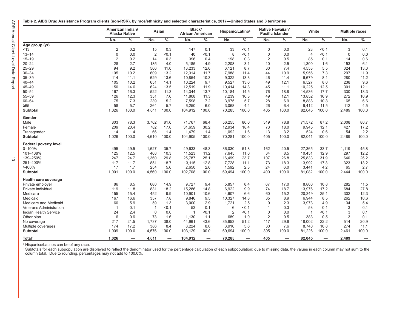<span id="page-12-0"></span>

|  |  | Table 2. AIDS Drug Assistance Program clients (non-RSR), by race/ethnicity and selected characteristics, 2017—United States and 3 territories |  |  |
|--|--|-----------------------------------------------------------------------------------------------------------------------------------------------|--|--|
|--|--|-----------------------------------------------------------------------------------------------------------------------------------------------|--|--|

|                                | American Indian/<br><b>Alaska Native</b> |       | Asian          |       |                | Black/<br>African American |                | Hispanic/Latino <sup>a</sup> |                | Native Hawaiian/<br><b>Pacific Islander</b> |                | White |             | <b>Multiple races</b> |
|--------------------------------|------------------------------------------|-------|----------------|-------|----------------|----------------------------|----------------|------------------------------|----------------|---------------------------------------------|----------------|-------|-------------|-----------------------|
|                                | No.                                      | %     | No.            | $\%$  | No.            | $\%$                       | No.            | $\%$                         | No.            | %                                           | No.            | $\%$  | No.         | $\%$                  |
| Age group (yr)                 |                                          |       |                |       |                |                            |                |                              |                |                                             |                |       |             |                       |
| ~13                            | $\overline{2}$                           | 0.2   | 15             | 0.3   | 147            | 0.1                        | 33             | < 0.1                        | $\mathbf 0$    | 0.0                                         | 28             | < 0.1 | 3           | 0.1                   |
| $13 - 14$                      | $\mathbf 0$                              | 0.0   | $\overline{2}$ | < 0.1 | 40             | < 0.1                      | 8              | < 0.1                        | $\mathbf 0$    | 0.0                                         | $\overline{4}$ | < 0.1 | $\mathbf 0$ | 0.0                   |
| $15 - 19$                      | $\overline{2}$                           | 0.2   | 14             | 0.3   | 396            | 0.4                        | 198            | 0.3                          | 2              | 0.5                                         | 85             | 0.1   | 14          | 0.6                   |
| $20 - 24$                      | 28                                       | 2.7   | 185            | 4.0   | 5.185          | 4.9                        | 2,208          | 3.1                          | 10             | 2.5                                         | 1,300          | 1.6   | 153         | 6.1                   |
| $25 - 29$                      | 94                                       | 9.2   | 506            | 11.0  | 13,233         | 12.6                       | 6,121          | 8.7                          | 30             | 7.4                                         | 4,553          | 5.5   | 324         | 13.0                  |
| $30 - 34$                      | 105                                      | 10.2  | 609            | 13.2  | 12,314         | 11.7                       | 7,988          | 11.4                         | 44             | 10.9                                        | 5,956          | 7.3   | 297         | 11.9                  |
| $35 - 39$                      | 114                                      | 11.1  | 629            | 13.6  | 10,854         | 10.3                       | 9,322          | 13.3                         | 46             | 11.4                                        | 6,679          | 8.1   | 280         | 11.2                  |
| $40 - 44$                      | 105                                      | 10.2  | 651            | 14.1  | 10,224         | 9.7                        | 9,527          | 13.6                         | 49             | 12.1                                        | 6,527          | 8.0   | 238         | 9.6                   |
| 45-49                          | 150                                      | 14.6  | 624            | 13.5  | 12,519         | 11.9                       | 10,414         | 14.8                         | 45             | 11.1                                        | 10,225         | 12.5  | 301         | 12.1                  |
| $50 - 54$                      | 167                                      | 16.3  | 522            | 11.3  | 14,344         | 13.7                       | 10,184         | 14.5                         | 76             | 18.8                                        | 14,536         | 17.7  | 330         | 13.3                  |
| $55 - 59$                      | 126                                      | 12.3  | 351            | 7.6   | 11,808         | 11.3                       | 7,239          | 10.3                         | 49             | 12.1                                        | 13,852         | 16.9  | 272         | 10.9                  |
| 60-64                          | 75                                       | 7.3   | 239            | 5.2   | 7,598          | 7.2                        | 3,975          | 5.7                          | 28             | 6.9                                         | 8,888          | 10.8  | 165         | 6.6                   |
| ≥65                            | 58                                       | 5.7   | 264            | 5.7   | 6,250          | 6.0                        | 3,068          | 4.4                          | 26             | 6.4                                         | 9,412          | 11.5  | 112         | 4.5                   |
| Subtotal                       | 1,026                                    | 100.0 | 4,611          | 100.0 | 104,912        | 100.0                      | 70,285         | 100.0                        | 405            | 100.0                                       | 82,045         | 100.0 | 2,489       | 100.0                 |
| Gender                         |                                          |       |                |       |                |                            |                |                              |                |                                             |                |       |             |                       |
| Male                           | 803                                      | 78.3  | 3,762          | 81.6  | 71,767         | 68.4                       | 56,255         | 80.0                         | 319            | 78.8                                        | 71,572         | 87.2  | 2,008       | 80.7                  |
| Female                         | 209                                      | 20.4  | 782            | 17.0  | 31,659         | 30.2                       | 12,934         | 18.4                         | 73             | 18.0                                        | 9,945          | 12.1  | 427         | 17.2                  |
| Transgender                    | 14                                       | 1.4   | 66             | 1.4   | 1,479          | 1.4                        | 1,092          | 1.6                          | 13             | 3.2                                         | 524            | 0.6   | 54          | $2.2\,$               |
| <b>Subtotal</b>                | 1,026                                    | 100.0 | 4,610          | 100.0 | 104,905        | 100.0                      | 70,281         | 100.0                        | 405            | 100.0                                       | 82,041         | 100.0 | 2,489       | 100.0                 |
| <b>Federal poverty level</b>   |                                          |       |                |       |                |                            |                |                              |                |                                             |                |       |             |                       |
| 0-100%                         | 495                                      | 49.5  | 1,627          | 35.7  | 49,633         | 48.3                       | 36,030         | 51.8                         | 162            | 40.5                                        | 27,365         | 33.7  | 1,119       | 45.8                  |
| 101-138%                       | 125                                      | 12.5  | 468            | 10.3  | 11,523         | 11.2                       | 7,645          | 11.0                         | 34             | 8.5                                         | 10,451         | 12.9  | 297         | 12.2                  |
| 139-250%                       | 247                                      | 24.7  | 1,360          | 29.8  | 25,787         | 25.1                       | 16,499         | 23.7                         | 107            | 26.8                                        | 25,833         | 31.9  | 640         | 26.2                  |
| 251-400%                       | 117                                      | 11.7  | 851            | 18.7  | 13,115         | 12.8                       | 7,728          | 11.1                         | 73             | 18.3                                        | 13,992         | 17.3  | 323         | 13.2                  |
| >400%                          | 17                                       | 1.7   | 254            | 5.6   | 2,650          | 2.6                        | 1,592          | 2.3                          | 24             | 6.0                                         | 3,441          | 4.2   | 65          | 2.7                   |
| <b>Subtotal</b>                | 1,001                                    | 100.0 | 4,560          | 100.0 | 102,708        | 100.0                      | 69,494         | 100.0                        | 400            | 100.0                                       | 81,082         | 100.0 | 2,444       | 100.0                 |
| Health care coverage           |                                          |       |                |       |                |                            |                |                              |                |                                             |                |       |             |                       |
| Private employer               | 86                                       | 8.5   | 680            | 14.9  | 9,727          | 9.4                        | 5,857          | 8.4                          | 67             | 17.0                                        | 8,800          | 10.8  | 282         | 11.5                  |
| Private individual             | 119                                      | 11.8  | 831            | 18.2  | 15,286         | 14.8                       | 6,922          | 9.9                          | 74             | 18.7                                        | 13,976         | 17.2  | 684         | 27.8                  |
| Medicare                       | 155                                      | 15.4  | 452            | 9.9   | 10,901         | 10.6                       | 4,607          | 6.6                          | 60             | 15.2                                        | 20,349         | 25.1  | 302         | 12.3                  |
| Medicaid                       | 167                                      | 16.6  | 357            | 7.8   | 9,846          | 9.5                        | 10,327         | 14.8                         | 35             | 8.9                                         | 6,944          | 8.5   | 262         | 10.6                  |
| Medicare and Medicaid          | 60                                       | 5.9   | 59             | 1.3   | 3,000          | 2.9                        | 1,721          | 2.5                          | 9              | 2.3                                         | 3,973          | 4.9   | 134         | 5.4                   |
| <b>Veterans Administration</b> | $\overline{1}$                           | 0.1   | $\mathbf{1}$   | < 0.1 | 53             | 0.1                        | 6              | < 0.1                        | -1             | 0.3                                         | 58             | 0.1   | 3           | 0.1                   |
| Indian Health Service          | 24                                       | 2.4   | $\mathbf 0$    | 0.0   | $\overline{1}$ | < 0.1                      | $\overline{2}$ | < 0.1                        | $\mathbf 0$    | 0.0                                         | $\overline{1}$ | < 0.1 | 3           | 0.1                   |
| Other plan                     | 6                                        | 0.6   | 73             | 1.6   | 1,130          | 1.1                        | 689            | 1.0                          | $\overline{2}$ | 0.5                                         | 383            | 0.5   | 3           | 0.1                   |
| No coverage                    | 217                                      | 21.5  | 1,737          | 38.0  | 44,961         | 43.6                       | 35,653         | 51.2                         | 117            | 29.6                                        | 18,002         | 22.2  | 514         | 20.9                  |
| Multiple coverages             | 174                                      | 17.2  | 386            | 8.4   | 8,224          | 8.0                        | 3,910          | 5.6                          | 30             | 7.6                                         | 8,740          | 10.8  | 274         | 11.1                  |
| <b>Subtotal</b>                | 1.009                                    | 100.0 | 4,576          | 100.0 | 103,129        | 100.0                      | 69,694         | 100.0                        | 395            | 100.0                                       | 81,226         | 100.0 | 2,461       | 100.0                 |
| <b>Total</b> <sup>b</sup>      | 1.026                                    | -     | 4,611          | -     | 104,912        | -                          | 70,285         | $\overline{\phantom{0}}$     | 405            | -                                           | 82,045         |       | 2,489       |                       |

a Hispanics/Latinos can be of any race.

<sup>ь</sup> Subtotals for each subpopulation are displayed to reflect the denominator used for the percentage calculation of each subpopulation; due to missing data, the values in each column may not sum to the column total. Due to rounding, percentages may not add to 100.0%.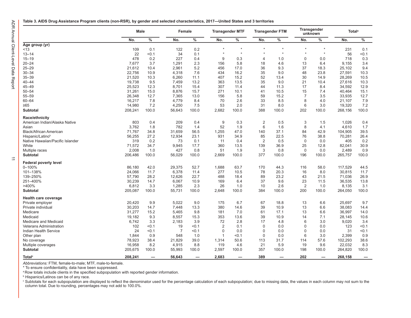<span id="page-13-0"></span>

|                                  | Male    |       |                | Female        |                | <b>Transgender MTF</b> |                | <b>Transgender FTM</b> |                | Transgender<br>unknown | <b>Total</b> <sup>a</sup> |       |
|----------------------------------|---------|-------|----------------|---------------|----------------|------------------------|----------------|------------------------|----------------|------------------------|---------------------------|-------|
|                                  | No.     | $\%$  | No.            | $\frac{0}{6}$ | No.            | $\%$                   | No.            | $\%$                   | No.            | $\%$                   | No.                       | $\%$  |
| Age group (yr)                   |         |       |                |               |                |                        |                |                        |                |                        |                           |       |
| 13                               | 109     | 0.1   | 122            | 0.2           | $\star$        | $\star$                | $\star$        | $\star$                | $\star$        | $\star$                | 231                       | 0.1   |
| $13 - 14$                        | 22      | 0.1   | 34             | 0.1           | $\star$        | $\star$                |                | $\star$                | $\star$        | $\star$                | 56                        | < 0.1 |
| $15 - 19$                        | 478     | 0.2   | 227            | 0.4           | 9              | 0.3                    | 4              | 1.0                    | $\mathbf 0$    | 0.0                    | 718                       | 0.3   |
| $20 - 24$                        | 7,677   | 3.7   | 1,291          | 2.3           | 156            | 5.8                    | 18             | 4.6                    | 13             | 6.4                    | 9,155                     | 3.4   |
| $25 - 29$                        | 21,612  | 10.4  | 2,961          | 5.2           | 456            | 17.0                   | 36             | 9.3                    | 37             | 18.3                   | 25,102                    | 9.4   |
| $30 - 34$                        | 22,756  | 10.9  | 4,318          | 7.6           | 434            | 16.2                   | 35             | 9.0                    | 48             | 23.8                   | 27,591                    | 10.3  |
| $35 - 39$                        | 21,520  | 10.3  | 6,260          | 11.1          | 407            | 15.2                   | 52             | 13.4                   | 30             | 14.9                   | 28,269                    | 10.5  |
| $40 - 44$                        | 19,738  | 9.5   | 7,459          | 13.2          | 363            | 13.5                   | 35             | 9.0                    | 21             | 10.4                   | 27,616                    | 10.3  |
| 45-49                            | 25,523  | 12.3  | 8,701          | 15.4          | 307            | 11.4                   | 44             | 11.3                   | 17             | 8.4                    | 34,592                    | 12.9  |
| $50 - 54$                        | 31,261  | 15.0  | 8,876          | 15.7          | 271            | 10.1                   | 41             | 10.5                   | 15             | 7.4                    | 40,464                    | 15.1  |
| 55-59                            | 26,348  | 12.7  | 7,365          | 13.0          | 156            | 5.8                    | 59             | 15.2                   | $\overline{7}$ | 3.5                    | 33,935                    | 12.7  |
| $60 - 64$                        | 16,217  | 7.8   | 4,779          | 8.4           | 70             | 2.6                    | 33             | 8.5                    | 8              | 4.0                    | 21,107                    | 7.9   |
| $\geq 65$                        | 14,980  | 7.2   | 4,250          | 7.5           | 53             | 2.0                    | 31             | 8.0                    | 6              | 3.0                    | 19,320                    | 7.2   |
| Subtotal                         | 208,241 | 100.0 | 56,643         | 100.0         | 2,682          | 100.0                  | 388            | 100.0                  | 202            | 100.0                  | 268,156                   | 100.0 |
| Race/ethnicity                   |         |       |                |               |                |                        |                |                        |                |                        |                           |       |
| American Indian/Alaska Native    | 803     | 0.4   | 209            | 0.4           | 9              | 0.3                    | $\overline{2}$ | 0.5                    | 3              | 1.5                    | 1,026                     | 0.4   |
| Asian                            | 3.762   | 1.8   | 782            | 1.4           | 52             | 1.9                    | 6              | 1.6                    | 8              | 4.1                    | 4,610                     | 1.7   |
| <b>Black/African American</b>    | 71,767  | 34.8  | 31,659         | 56.5          | 1,255          | 47.0                   | 140            | 37.1                   | 84             | 42.9                   | 104,905                   | 39.5  |
| Hispanic/Latino <sup>b</sup>     | 56,255  | 27.2  | 12,934         | 23.1          | 931            | 34.9                   | 85             | 22.5                   | 76             | 38.8                   | 70,281                    | 26.4  |
| Native Hawaiian/Pacific Islander | 319     | 0.2   | 73             | 0.1           | 11             | 0.4                    | $\overline{2}$ | 0.5                    | $\mathbf 0$    | 0.0                    | 405                       | 0.2   |
| White                            | 71,572  | 34.7  | 9,945          | 17.7          | 360            | 13.5                   | 139            | 36.9                   | 25             | 12.8                   | 82,041                    | 30.9  |
| Multiple races                   | 2,008   | 1.0   | 427            | 0.8           | 51             | 1.9                    | 3              | 0.8                    | $\mathbf 0$    | 0.0                    | 2,489                     | 0.9   |
| Subtotal                         | 206,486 | 100.0 | 56,029         | 100.0         | 2,669          | 100.0                  | 377            | 100.0                  | 196            | 100.0                  | 265,757                   | 100.0 |
| <b>Federal poverty level</b>     |         |       |                |               |                |                        |                |                        |                |                        |                           |       |
| $0 - 100%$                       | 86,180  | 42.0  | 29,375         | 52.7          | 1,688          | 63.7                   | 170            | 44.3                   | 116            | 58.0                   | 117,529                   | 44.5  |
| 101-138%                         | 24,066  | 11.7  | 6,378          | 11.4          | 277            | 10.5                   | 78             | 20.3                   | 16             | 8.0                    | 30,815                    | 11.7  |
| 139-250%                         | 57,790  | 28.2  | 12,626         | 22.7          | 488            | 18.4                   | 89             | 23.2                   | 43             | 21.5                   | 71,036                    | 26.9  |
| 251-400%                         | 30,239  | 14.7  | 6,067          | 10.9          | 169            | 6.4                    | 37             | 9.6                    | 23             | 11.5                   | 36,535                    | 13.8  |
| >400%                            | 6,812   | 3.3   | 1,285          | 2.3           | 26             | 1.0                    | 10             | 2.6                    | $\overline{2}$ | 1.0                    | 8,135                     | 3.1   |
| Subtotal                         | 205,087 | 100.0 | 55,731         | 100.0         | 2,648          | 100.0                  | 384            | 100.0                  | 200            | 100.0                  | 264,050                   | 100.0 |
| Health care coverage             |         |       |                |               |                |                        |                |                        |                |                        |                           |       |
| Private employer                 | 20,420  | 9.9   | 5,022          | 9.0           | 175            | 6.7                    | 67             | 18.8                   | 13             | 6.6                    | 25,697                    | 9.7   |
| Private individual               | 30,203  | 14.7  | 7,448          | 13.3          | 380            | 14.6                   | 39             | 10.9                   | 13             | 6.6                    | 38,083                    | 14.4  |
| Medicare                         | 31,277  | 15.2  | 5,465          | 9.8           | 181            | 7.0                    | 61             | 17.1                   | 13             | 6.6                    | 36,997                    | 14.0  |
| Medicaid                         | 19,182  | 9.3   | 8,557          | 15.3          | 353            | 13.6                   | 39             | 10.9                   | 14             | 7.1                    | 28,145                    | 10.6  |
| Medicare and Medicaid            | 6,742   | 3.3   | 2,183          | 3.9           | 72             | 2.8                    | 17             | 4.8                    | 6              | 3.0                    | 9,020                     | 3.4   |
| <b>Veterans Administration</b>   | 102     | < 0.1 | 19             | < 0.1         | $\overline{2}$ | 0.1                    | $\mathbf 0$    | 0.0                    | $\mathbf 0$    | 0.0                    | 123                       | < 0.1 |
| <b>Indian Health Service</b>     | 24      | < 0.1 | $\overline{7}$ | < 0.1         | $\mathbf 0$    | 0.0                    | $\Omega$       | 0.0                    | $\mathbf 0$    | 0.0                    | 31                        | < 0.1 |
| Other plan                       | 1,844   | 0.9   | 548            | 1.0           | $\overline{1}$ | < 0.1                  | $\mathbf 0$    | 0.0                    | 6              | 3.0                    | 2,399                     | 0.9   |
| No coverage                      | 78,923  | 38.4  | 21,829         | 39.0          | 1,314          | 50.6                   | 113            | 31.7                   | 114            | 57.6                   | 102,293                   | 38.6  |
| Multiple coverages               | 16,958  | 8.2   | 4,915          | 8.8           | 119            | 4.6                    | 21             | 5.9                    | 19             | 9.6                    | 22,032                    | 8.3   |
| <b>Subtotal</b>                  | 205,675 | 100.0 | 55,993         | 100.0         | 2,597          | 100.0                  | 357            | 100.0                  | 198            | 100.0                  | 264,820                   | 100.0 |
| <b>Total<sup>c</sup></b>         | 208,241 |       | 56,643         |               | 2.683          | -                      | 389            |                        | 202            |                        | 268,158                   |       |

*Abbreviations:* FTM, female-to-male; MTF, male-to-female.

\* To ensure confidentiality, data have been suppressed.

<sup>a</sup> Row totals include clients in the specified subpopulation with reported gender information.

b Hispanics/Latinos can be of any race.

° Subtotals for each subpopulation are displayed to reflect the denominator used for the percentage calculation of each subpopulation; due to missing data, the values in each column may not sum to the<br>column total. Due to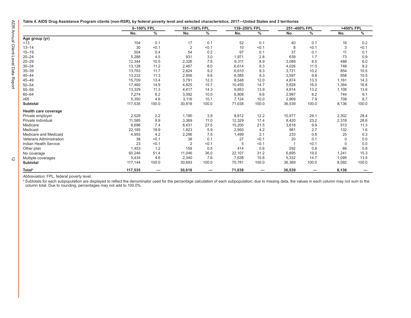$\vec{\sim}$ 

<span id="page-14-0"></span>

|  | Table 4. AIDS Drug Assistance Program clients (non-RSR), by federal poverty level and selected characteristics, 2017—United States and 3 territories |  |
|--|------------------------------------------------------------------------------------------------------------------------------------------------------|--|
|--|------------------------------------------------------------------------------------------------------------------------------------------------------|--|

|                                |         | 0-100% FPL    |                | 101-138% FPL             | 139-250% FPL |       | 251-400% FPL |                          | >400% FPL |       |
|--------------------------------|---------|---------------|----------------|--------------------------|--------------|-------|--------------|--------------------------|-----------|-------|
|                                | No.     | $\frac{1}{2}$ | No.            | $\%$                     | No.          | $\%$  | No.          | $\%$                     | No.       | $\%$  |
| Age group (yr)                 |         |               |                |                          |              |       |              |                          |           |       |
| < 13                           | 104     | 0.1           | 17             | 0.1                      | 52           | 0.1   | 40           | 0.1                      | 16        | 0.2   |
| $13 - 14$                      | 30      | < 0.1         | $\overline{2}$ | < 0.1                    | 10           | < 0.1 | 8            | < 0.1                    | 3         | < 0.1 |
| $15 - 19$                      | 504     | 0.4           | 54             | 0.2                      | 97           | 0.1   | 37           | 0.1                      | 11        | 0.1   |
| $20 - 24$                      | 5,288   | 4.5           | 931            | 3.0                      | 1,971        | 2.8   | 639          | 1.7                      | 73        | 0.9   |
| $25 - 29$                      | 12,344  | 10.5          | 2,326          | 7.5                      | 6,311        | 8.9   | 3,089        | 8.5                      | 488       | 6.0   |
| $30 - 34$                      | 13,128  | 11.2          | 2,467          | 8.0                      | 6,614        | 9.3   | 4,026        | 11.0                     | 748       | 9.2   |
| $35 - 39$                      | 13,783  | 11.7          | 2,824          | 9.2                      | 6,610        | 9.3   | 3,721        | 10.2                     | 854       | 10.5  |
| $40 - 44$                      | 13,232  | 11.3          | 2,956          | 9.6                      | 6,585        | 9.3   | 3,597        | 9.8                      | 858       | 10.5  |
| $45 - 49$                      | 15,709  | 13.4          | 3,791          | 12.3                     | 8,548        | 12.0  | 4,874        | 13.3                     | 1,161     | 14.3  |
| $50 - 54$                      | 17,460  | 14.9          | 4,825          | 15.7                     | 10,455       | 14.7  | 5,828        | 16.0                     | 1,364     | 16.8  |
| $55 - 59$                      | 13,329  | 11.3          | 4,417          | 14.3                     | 9,853        | 13.9  | 4,814        | 13.2                     | 1,108     | 13.6  |
| 60-64                          | 7,274   | 6.2           | 3,092          | 10.0                     | 6,808        | 9.6   | 2,997        | 8.2                      | 744       | 9.1   |
| $\geq 65$                      | 5,350   | 4.6           | 3,116          | 10.1                     | 7,124        | 10.0  | 2,869        | 7.9                      | 708       | 8.7   |
| <b>Subtotal</b>                | 117,535 | 100.0         | 30,818         | 100.0                    | 71,038       | 100.0 | 36,539       | 100.0                    | 8,136     | 100.0 |
| Health care coverage           |         |               |                |                          |              |       |              |                          |           |       |
| Private employer               | 2,529   | 2.2           | 1,190          | 3.9                      | 8,612        | 12.2  | 10,577       | 29.1                     | 2,302     | 28.4  |
| Private individual             | 11,585  | 9.9           | 3,369          | 11.0                     | 12,329       | 17.4  | 8,420        | 23.2                     | 2,318     | 28.6  |
| Medicare                       | 8,696   | 7.4           | 8,431          | 27.5                     | 15,200       | 21.5  | 3,618        | 9.9                      | 913       | 11.3  |
| Medicaid                       | 22,185  | 18.9          | 1,823          | 5.9                      | 2,950        | 4.2   | 981          | 2.7                      | 132       | 1.6   |
| Medicare and Medicaid          | 4,955   | 4.2           | 2,296          | 7.5                      | 1,499        | 2.1   | 233          | 0.6                      | 25        | 0.3   |
| <b>Veterans Administration</b> | 38      | < 0.1         | 38             | 0.1                      | 27           | < 0.1 | 20           | 0.1                      | $\Omega$  | 0.0   |
| <b>Indian Health Service</b>   | 23      | < 0.1         | $\overline{2}$ | < 0.1                    | 5            | < 0.1 |              | < 0.1                    | $\Omega$  | 0.0   |
| Other plan                     | 1,453   | 1.2           | 158            | 0.5                      | 414          | 0.6   | 292          | 0.8                      | 66        | 0.8   |
| No coverage                    | 60,246  | 51.4          | 11,046         | 36.0                     | 22,107       | 31.2  | 6,895        | 19.0                     | 1,241     | 15.3  |
| Multiple coverages             | 5,434   | 4.6           | 2,340          | 7.6                      | 7,638        | 10.8  | 5,332        | 14.7                     | 1,095     | 13.5  |
| <b>Subtotal</b>                | 117,144 | 100.0         | 30,693         | 100.0                    | 70,781       | 100.0 | 36,369       | 100.0                    | 8,092     | 100.0 |
| <b>Total</b> <sup>a</sup>      | 117,535 |               | 30,818         | $\overline{\phantom{0}}$ | 71,038       |       | 36,539       | $\overline{\phantom{0}}$ | 8,136     |       |

*Abbreviation:* FPL, federal poverty level.

<sup>a</sup> Subtotals for each subpopulation are displayed to reflect the denominator used for the percentage calculation of each subpopulation; due to missing data, the values in each column may not sum to the column total. Due to rounding, percentages may not add to 100.0%.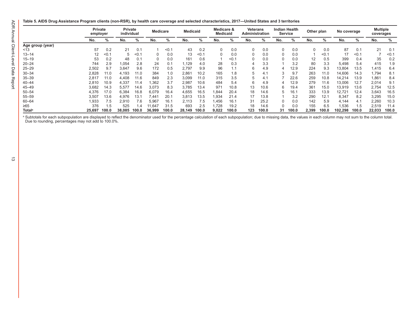<span id="page-15-0"></span>**Table 5. AIDS Drug Assistance Program clients (non-RSR), by health care coverage and selected characteristics, 2017—United States and 3 territories**

|                           |        | <b>Private</b><br>employer |        |       |                 |       |        | <b>Private</b><br>individual | <b>Medicare</b> |       | <b>Medicaid</b> |       | Medicare &<br><b>Medicaid</b> |       | Veterans<br><b>Administration</b> |        | Indian Health<br><b>Service</b> |       | Other plan |       | No coverage |  | <b>Multiple</b><br>coverages |  |
|---------------------------|--------|----------------------------|--------|-------|-----------------|-------|--------|------------------------------|-----------------|-------|-----------------|-------|-------------------------------|-------|-----------------------------------|--------|---------------------------------|-------|------------|-------|-------------|--|------------------------------|--|
|                           | No.    | %                          | No.    | %     | No.             | ℅     | No.    | ℅                            | No.             | %     | No.             | %     | No.                           | %     | No.                               | %      | No.                             | %     | No.        | %     |             |  |                              |  |
| Age group (year)          |        |                            |        |       |                 |       |        |                              |                 |       |                 |       |                               |       |                                   |        |                                 |       |            |       |             |  |                              |  |
| ~13                       | 57     | 0.2                        | 21     | 0.1   |                 | < 0.1 | 43     | 0.2                          |                 | 0.0   |                 | 0.0   |                               | 0.0   | $\Omega$                          | 0.0    | 87                              | 0.1   | 21         | 0.1   |             |  |                              |  |
| $13 - 14$                 | 12     | < 0.7                      | 5      | < 0.7 | 0               | 0.0   | 13     | < 0.1                        |                 | 0.0   |                 | 0.0   |                               | 0.0   |                                   | $<$ 0. | 17                              | < 0.7 |            | < 0.1 |             |  |                              |  |
| $15 - 19$                 | 53     | 0.2                        | 48     | 0.1   | $\Omega$        | 0.0   | 161    | 0.6                          |                 | < 0.1 |                 | 0.0   |                               | 0.0   | 12                                | 0.5    | 399                             | 0.4   | 35         | 0.2   |             |  |                              |  |
| $20 - 24$                 | 744    | 2.9                        | 1,054  | 2.8   | 24              | 0.1   | .129   | 4.0                          | 28              | 0.3   |                 | 3.3   |                               | 3.2   | 80                                | 3.3    | 5,498                           | 5.4   | 415        | 1.9   |             |  |                              |  |
| $25 - 29$                 | 2,502  | 9.7                        | 3,647  | 9.6   | 172             | 0.5   | 2,797  | 9.9                          | 96              | 1.1   | 6               | 4.9   |                               | 12.9  | 224                               | 9.3    | 13,804                          | 13.5  | 1,415      | 6.4   |             |  |                              |  |
| $30 - 34$                 | 2,828  | 11.0                       | 4,193  | 11.0  | 384             | 1.0   | 2,861  | 10.2                         | 165             | 1.8   |                 | 4.1   |                               | 9.7   | 263                               | 11.0   | 14,606                          | 14.3  | 1,794      | 8.1   |             |  |                              |  |
| $35 - 39$                 | 2,817  | 11.0                       | 4,408  | 11.6  | 849             | 2.3   | 3,099  | 11.0                         | 315             | 3.5   |                 | 4.1   |                               | 22.6  | 259                               | 10.8   | 14,214                          | 13.9  | 1,861      | 8.4   |             |  |                              |  |
| $40 - 44$                 | 2,810  | 10.9                       | 4,337  | 11.4  | .362            | 3.7   | 2,987  | 10.6                         | 484             | 5.4   | b               | 4.9   |                               | 12.9  | 279                               | 11.6   | 13,006                          | 12.7  | 2,014      | 9.1   |             |  |                              |  |
| $45 - 49$                 | 3,682  | 14.3                       | 5,577  | 14.6  | 3,073           | 8.3   | 3.785  | 13.4                         | 971             | 10.8  | 13              | 10.6  | b                             | 19.4  | 361                               | 15.0   | 13,919                          | 13.6  | 2,754      | 12.5  |             |  |                              |  |
| $50 - 54$                 | 4,376  | 17.0                       | 6,384  | 16.8  | 6,079           | 16.4  | 4,655  | 16.5                         | .844            | 20.4  | 18              | 14.6  | :5                            | 16.1  | 333                               | 13.9   | 12,721                          | 12.4  | 3,643      | 16.5  |             |  |                              |  |
| $55 - 59$                 | 3,507  | 13.6                       | 4,976  | 13.1  | 44 <sup>-</sup> | 20.1  | 3,813  | 13.5                         | .934            | 21.4  |                 | 13.8  |                               | 3.2   | 290                               | 12.1   | 8,347                           | 8.2   | 3,295      | 15.0  |             |  |                              |  |
| 60-64                     | 1,933  | 7.5                        | 2,910  | 7.6   | 5,967           | 16.1  | 2,113  | 7.5                          | .456            | 16.1  | 31              | 25.2  | 0                             | 0.0   | 142                               | 5.9    | 4,144                           | 4.1   | 2,260      | 10.3  |             |  |                              |  |
| $\geq 65$                 | 376    | 1.5                        | 525    | . .4  | 11,647          | 31.5  | 693    | 2.5                          | .728            | 19.2  | 18              | 14.6  | 0                             | 0.0   | 155                               | 6.5    | 1,536                           | 1.5   | 2,519      | 11.4  |             |  |                              |  |
| <b>Total</b> <sup>a</sup> | 25,697 | 100.0                      | 38,085 | 100.0 | 36,999          | 100.0 | 28,149 | 100.0                        | 9,022           | 100.0 | 123             | 100.0 | 31                            | 100.0 | 2,399                             | 100.0  | 102,298                         | 100.0 | 22,033     | 100.0 |             |  |                              |  |

a Subtotals for each subpopulation are displayed to reflect the denominator used for the percentage calculation of each subpopulation; due to missing data, the values in each column may not sum to the column total. Due to rounding, percentages may not add to 100.0%.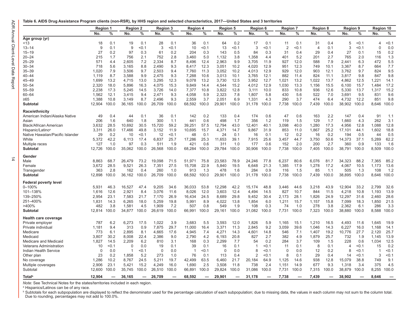$\frac{1}{4}$ 

#### <span id="page-16-0"></span>**Table 6. AIDS Drug Assistance Program clients (non-RSR), by HHS region and selected characteristics, 2017—United States and 3 territories**

|                                  | Region 1 |       | <b>Region 2</b> |                          |          | <b>Region 3</b> | <b>Region 4</b> |       | <b>Region 5</b> |       | <b>Region 6</b> |         | <b>Region 7</b> |       |                | <b>Region 8</b>          |                | <b>Region 9</b> |                | Region 10 |
|----------------------------------|----------|-------|-----------------|--------------------------|----------|-----------------|-----------------|-------|-----------------|-------|-----------------|---------|-----------------|-------|----------------|--------------------------|----------------|-----------------|----------------|-----------|
|                                  | No.      | %     | No.             | %                        | No.      | %               | No.             | $\%$  | No.             | ℅     | No.             | %       | No.             | ℅     | No.            | ℅                        | No.            | %               | No.            | %         |
| Age group (yr)                   |          |       |                 |                          |          |                 |                 |       |                 |       |                 |         |                 |       |                |                          |                |                 |                |           |
| < 13                             | 18       | 0.1   | 19              | 0.1                      | 28       | 0.1             | 36              | 0.1   | 64              | 0.2   | 17              | 0.1     | 11              | 0.1   | 31             | 0.4                      | 5              | < 0.1           | $\overline{4}$ | < 0.1     |
| $13 - 14$                        | $9\,$    | 0.1   | 9               | 0.1                      | 3        | 0.1             | 10              | < 0.1 | 13              | 0.1   | 3               | 0.1     | $\overline{2}$  | < 0.1 | $\overline{4}$ | 0.1                      | 3              | < 0.1           | $\Omega$       | 0.0       |
| $15 - 19$                        | 27       | 0.2   | 97              | 0.3                      | 61       | 0.2             | 204             | 0.3   | 143             | 0.5   | 84              | 0.3     | 31              | 0.4   | 29             | 0.4                      | 27             | 0.1             | 15             | 0.2       |
| $20 - 24$                        | 215      | 1.7   | 756             | 2.1                      | 752      | 2.8             | 3,460           | 5.0   | 1,132           | 3.8   | 1,358           | 4.4     | 401             | 5.2   | 201            | 2.7                      | 765            | 2.0             | 116            | 1.3       |
| $25 - 29$                        | 571      | 4.4   | 2,605           | 7.2                      | 2,334    | 8.7             | 8,496           | 12.4  | 2,963           | 9.9   | 3,705           | 11.9    | 927             | 12.0  | 588            | 7.9                      | 2,441          | 6.3             | 472            | 5.5       |
| $30 - 34$                        | 718      | 5.6   | 3,165           | 8.8                      | 2,490    | 9.3             | 8.417           | 12.3  | 3.051           | 10.2  | 4,020           | 12.9    | 951             | 12.3  | 749            | 10.1                     | 3,367          | 8.7             | 664            | 7.7       |
| $35 - 39$                        | 1,020    | 7.9   | 3,506           | 9.7                      | 2,503    | 9.4             | 7,760           | 11.3  | 3,052           | 10.2  | 4,013           | 12.9    | 929             | 12.0  | 903            | 12.1                     | 3,762          | 9.7             | 824            | 9.5       |
| $40 - 44$                        | 1,119    | 8.7   | 3,588           | 9.9                      | 2.475    | 9.3             | 7,288           | 10.6  | 3,013           | 10.1  | 3.765           | 12.1    | 882             | 11.4  | 824            | 11.1                     | 3,817          | 9.8             | 847            | 9.8       |
| $45 - 49$                        | 1,699    | 13.2  | 4,715           | 13.0                     | 3,295    | 12.3            | 9,078           | 13.2  | 3,730           | 12.5  | 3,952           | 12.7    | 1,021           | 13.2  | 1,022          | 13.7                     | 4,862          | 12.5            | 1,221          | 14.1      |
| $50 - 54$                        | 2,320    | 18.0  | 5,896           | 16.3                     | 4,075    | 15.3            | 9,849           | 14.4  | 4,544           | 15.2  | 4,012           | 12.9    | 1,030           | 13.3  | 1,156          | 15.5                     | 6,100          | 15.7            | 1,484          | 17.2      |
| $55 - 59$                        | 2,238    | 17.3  | 5,245           | 14.5                     | 3,726    | 14.0            | 7,377           | 10.8  | 3,822           | 12.8  | 3,111           | 10.0    | 833             | 10.8  | 936            | 12.6                     | 5,330          | 13.7            | 1,317          | 15.2      |
| $60 - 64$                        | 1,562    | 12.1  | 3,415           | 9.4                      | 2,471    | 9.3             | 4,058           | 5.9   | 2,323           | 7.8   | 1,807           | 5.8     | 430             | 5.6   | 522            | 7.0                      | 3,691          | 9.5             | 831            | 9.6       |
| ≥65                              | 1,388    | 10.8  | 3,149           | 8.7                      | 2,496    | 9.3             | 2,559           | 3.7   | 2,051           | 6.9   | 1,331           | 4.3     | 290             | 3.7   | 474            | 6.4                      | 4,732          | 12.2            | 851            | 9.8       |
| Subtotal                         | 12,904   | 100.0 | 36,165          | 100.0                    | 26,709   | 100.0           | 68,592          | 100.0 | 29,901          | 100.0 | 31,178          | 100.0   | 7,738           | 100.0 | 7,439          | 100.0                    | 38,902         | 100.0           | 8,646          | 100.0     |
| Race/ethnicity                   |          |       |                 |                          |          |                 |                 |       |                 |       |                 |         |                 |       |                |                          |                |                 |                |           |
| American Indian/Alaska Native    | 49       | 0.4   | 44              | 0.1                      | 36       | 0.1             | 142             | 0.2   | 133             | 0.4   | 174             | 0.6     | 47              | 0.6   | 163            | 2.2                      | 147            | 0.4             | 91             | 1.1       |
| Asian                            | 206      | 1.6   | 640             | 1.8                      | 300      | 1.1             | 441             | 0.6   | 498             | 1.7   | 356             | 1.2     | 119             | 1.5   | 129            | 1.7                      | 1,660          | 4.3             | 262            | 3.1       |
| <b>Black/African American</b>    | 3,632    | 28.5  | 10,692          | 30.5                     | 15,720   | 59.2            | 39,251          | 57.5  | 12,794          | 43.0  | 12,401          | 40.1    | 3,098           | 40.0  | 1,280          | 17.3                     | 4,956          | 12.8            | 1,088          | 12.8      |
| Hispanic/Latino <sup>a</sup>     | 3,311    | 26.0  | 17,466          | 49.8                     | 3,152    | 11.9            | 10,695          | 15.7  | 4,371           | 14.7  | 9,867           | 31.9    | 853             | 11.0  | 1,867          | 25.2                     | 17,101         | 44.1            | 1,602          | 18.8      |
| Native Hawaiian/Pacific Islander | 29       | 0.2   | 10              | < 0.1                    | 12       | < 0.1           | 48              | 0.1   | 24              | 0.1   | 16              | 0.1     | 12              | 0.2   | 16             | 0.2                      | 194            | 0.5             | 44             | 0.5       |
| White                            | 5,372    | 42.2  | 6,113           | 17.4                     | 6,837    | 25.7            | 17,286          | 25.3  | 11,653          | 39.1  | 7,915           | 25.6    | 3,457           | 44.7  | 3,750          | 50.6                     | 14,373         | 37.1            | 5,289          | 62.2      |
| Multiple races                   | 127      | 1.0   | 97              | 0.3                      | 511      | 1.9             | 421             | 0.6   | 311             | 1.0   | 177             | 0.6     | 152             | 2.0   | 200            | 2.7                      | 360            | 0.9             | 133            | 1.6       |
| Subtotal                         | 12,726   | 100.0 | 35,062          | 100.0                    | 26,568   | 100.0           | 68,284          | 100.0 | 29,784          | 100.0 | 30,906          | 100.0   | 7,738           | 100.0 | 7,405          | 100.0                    | 38,791         | 100.0           | 8,509          | 100.0     |
| Gender                           |          |       |                 |                          |          |                 |                 |       |                 |       |                 |         |                 |       |                |                          |                |                 |                |           |
| Male                             | 8,863    | 68.7  | 26,479          | 73.2                     | 19,098   | 71.5            | 51,971          | 75.8  | 23,583          | 78.9  | 24,246          | 77.8    | 6,237           | 80.6  | 6,076          | 81.7                     | 34,323         | 88.2            | 7,365          | 85.2      |
| Female                           | 3.672    | 28.5  | 9,521           | 26.3                     | 7,351    | 27.5            | 15,708          | 22.9  | 5,840           | 19.5  | 6,648           | 21.3    | 1,385           | 17.9  | 1,278          | 17.2                     | 4,067          | 10.5            | 1,173          | 13.6      |
| Transgender                      | 363      | 2.8   | 162             | 0.4                      | 260      | 1.0             | 913             | 1.3   | 478             | 1.6   | 284             | 0.9     | 116             | 1.5   | 85             | 1.1                      | 505            | 1.3             | 108            | 1.2       |
| <b>Subtotal</b>                  | 12,898   | 100.0 | 36,162          | 100.0                    | 26.709   | 100.0           | 68,592          | 100.0 | 29,901          | 100.0 | 31,178          | 100.0   | 7,738           | 100.0 | 7,439          | 100.0                    | 38,895         | 100.0           | 8.646          | 100.0     |
| <b>Federal poverty level</b>     |          |       |                 |                          |          |                 |                 |       |                 |       |                 |         |                 |       |                |                          |                |                 |                |           |
| $0 - 100%$                       | 5,931    | 46.3  | 16,527          | 47.4                     | 9,205    | 34.6            | 36,033          | 53.8  | 12,298          | 42.2  | 15,174          | 48.8    | 3,446           | 44.6  | 3,218          | 43.9                     | 12,904         | 33.2            | 2,799          | 32.6      |
| 101-138%                         | 1,616    | 12.6  | 2,921           | 8.4                      | 3,076    | 11.6            | 8,026           | 12.0  | 3,603           | 12.4  | 4,494           | 14.5    | 827             | 10.7  | 844            | 11.5                     | 4,218          | 10.8            | 1,193          | 13.9      |
| 139-250%                         | 2,954    | 23.1  | 7,583           | 21.7                     | 7,170    | 26.9            | 16,434          | 24.5  | 8,689           | 29.8  | 9,452           | 30.4    | 2,173           | 28.1  | 1,826          | 24.9                     | 12,297         | 31.6            | 2,460          | 28.6      |
| 251-400%                         | 1.831    | 14.3  | 6.265           | 18.0                     | 5.259    | 19.8            | 5,991           | 8.9   | 4.022           | 13.8  | 1,854           | 6.0     | 1,211           | 15.7  | 1,157          | 15.8                     | 7,099          | 18.3            | 1.850          | 21.5      |
| >400%                            | 482      | 3.8   | 1,581           | 4.5                      | 1,909    | 7.2             | 507             | 0.8   | 549             | 1.9   | 108             | 0.3     | 74              | 1.0   | 278            | 3.8                      | 2,362          | 6.1             | 286            | 3.3       |
| Subtotal                         | 12,814   | 100.0 | 34,877          | 100.0                    | 26,619   | 100.0           | 66,991          | 100.0 | 29,161          | 100.0 | 31,082          | 100.0   | 7,731           | 100.0 | 7,323          | 100.0                    | 38,880         | 100.0           | 8,588          | 100.0     |
| <b>Health care coverage</b>      |          |       |                 |                          |          |                 |                 |       |                 |       |                 |         |                 |       |                |                          |                |                 |                |           |
| Private employer                 | 787      | 6.2   | 6,273           | 17.5                     | 1,022    | 3.9             | 3,683           | 5.5   | 3,593           | 12.0  | 1,826           | 5.9     | 1,165           | 15.1  | 1,210          | 16.5                     | 4,493          | 11.6            | 1,645          | 19.9      |
| Private individual               | 1,181    | 9.4   | 313             | 0.9                      | 7,875    | 29.7            | 11,000          | 16.4  | 3,371           | 11.3  | 2,845           | 9.2     | 3,059           | 39.6  | 1,046          | 14.3                     | 6,227          | 16.0            | 1,168          | 14.1      |
| Medicare                         | 773      | 6.1   | 2,895           | 8.1                      | 4,665    | 17.6            | 4,945           | 7.4   | 4,271           | 14.3  | 4,601           | 14.8    | 546             | 7.1   | 1,407          | 19.2                     | 10,776         | 27.7            | 2,120          | 25.7      |
| Medicaid                         | 3,807    | 30.2  | 8,008           | 22.4                     | 2,386    | 9.0             | 2,790           | 4.2   | 6,193           | 20.8  | 827             | 2.7     | 382             | 4.9   | 1,879          | 25.7                     | 732            | 1.9             | 1,145          | 13.9      |
| Medicare and Medicaid            | 1,827    | 14.5  | 2,209           | 6.2                      | 810      | 3.1             | 168             | 0.3   | 2,299           | 7.7   | 54              | 0.2     | 284             | 3.7   | 109            | 1.5                      | 228            | 0.6             | 1,034          | 12.5      |
| <b>Veterans Administration</b>   | 10       | $0.1$ | $\Omega$        | 0.0                      | 19       | 0.1             | 39              | 0.1   | 16              | 0.1   | -1              | < 0.1   | 11              | 0.1   | 8              | 0.1                      | $\overline{4}$ | < 0.1           | 15             | 0.2       |
| Indian Health Service            | $\Omega$ | 0.0   | -1              | < 0.1                    | $\Omega$ | 0.0             | $\overline{1}$  | $0.1$ | $\Omega$        | 0.0   | 8               | $<$ 0.1 | $\Omega$        | 0.0   | 12             | 0.2                      | 8              | < 0.1           |                | < 0.1     |
| Other plan                       | 23       | 0.2   | 1,858           | 5.2                      | 273      | 1.0             | 76              | 0.1   | 113             | 0.4   | $\overline{2}$  | 0.1     | 8               | 0.1   | 29             | 0.4                      | 14             | < 0.1           | 3              | < 0.1     |
| No coverage                      | 1,286    | 10.2  | 8,767           | 24.5                     | 5,211    | 19.7            | 42,499          | 63.5  | 6,460           | 21.7  | 20,184          | 64.9    | 1,125           | 14.6  | 938            | 12.8                     | 15,079         | 38.8            | 749            | 9.1       |
| Multiple coverages               | 2,906    | 23.1  | 5,421           | 15.2                     | 4,249    | 16.0            | 1,690           | 2.5   | 3,508           | 11.8  | 738             | 2.4     | 1,151           | 14.9  | 677            | 9.3                      | 1,318          | 3.4             | 375            | 4.5       |
| Subtotal                         | 12,600   | 100.0 | 35,745          | 100.0                    | 26,510   | 100.0           | 66,891          | 100.0 | 29,824          | 100.0 | 31,086          | 100.0   | 7,731           | 100.0 | 7,315          | 100.0                    | 38,879         | 100.0           | 8,255          | 100.0     |
|                                  |          |       |                 | $\overline{\phantom{0}}$ |          | $\sim$          |                 |       |                 |       |                 |         |                 |       |                | $\overline{\phantom{0}}$ |                |                 |                |           |
| Total <sup>b</sup>               | 12.904   |       | 36,165          |                          | 26,709   |                 | 68,592          | -     | 29.901          |       | 31,178          |         | 7,738           |       | 7,439          |                          | 38,902         |                 | 8.646          |           |

*Note:* See Technical Notes for the states/territories included in each region.

a Hispanics/Latinos can be of any race.

b Subtotals for each subpopulation are displayed to reflect the denominator used for the percentage calculation of each subpopulation; due to missing data, the values in each column may not sum to the column total. Due to rounding, percentages may not add to 100.0%.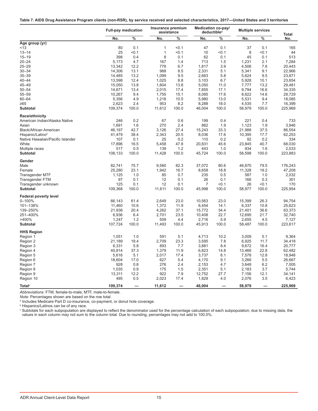<span id="page-17-0"></span>

|  | Table 7. AIDS Drug Assistance Program clients (non-RSR), by service received and selected characteristics, 2017—United States and 3 territories |  |
|--|-------------------------------------------------------------------------------------------------------------------------------------------------|--|
|  |                                                                                                                                                 |  |

|                                  | <b>Full-pay medication</b> |               | Insurance premium<br>assistance |               |        | Medication co-pay/<br>deductible <sup>a</sup> |        | <b>Multiple services</b> | <b>Total</b> |
|----------------------------------|----------------------------|---------------|---------------------------------|---------------|--------|-----------------------------------------------|--------|--------------------------|--------------|
|                                  | No.                        | $\frac{9}{6}$ | No.                             | $\frac{9}{6}$ | No.    | %                                             | No.    | %                        | No.          |
| Age group (yr)                   |                            |               |                                 |               |        |                                               |        |                          |              |
| < 13                             | 80                         | 0.1           | 1                               | < 0.1         | 47     | 0.1                                           | 37     | 0.1                      | 165          |
| $13 - 14$                        | 25                         | < 0.1         | $\mathbf{1}$                    | < 0.1         | 10     | < 0.1                                         | 8      | < 0.1                    | 44           |
| $15 - 19$                        | 398                        | 0.4           | 8                               | 0.1           | 62     | 0.1                                           | 45     | 0.1                      | 513          |
| $20 - 24$                        | 5,173                      | 4.7           | 167                             | 1.4           | 713    | 1.5                                           | 1,231  | 2.1                      | 7,284        |
| $25 - 29$                        | 13,342                     | 12.2          | 778                             | 6.7           | 1,817  | 3.9                                           | 4,506  | 7.6                      | 20,443       |
| $30 - 34$                        | 14,306                     | 13.1          | 988                             | 8.5           | 2,331  | 5.1                                           | 5,341  | 9.1                      | 22,966       |
| $35 - 39$                        | 14,485                     | 13.2          | 1,099                           | 9.5           | 2,663  | 5.8                                           | 5,624  | 9.5                      | 23,871       |
| $40 - 44$                        | 13,598                     | 12.4          | 1,025                           | 8.8           | 3,103  | 6.7                                           | 5,928  | 10.1                     | 23,654       |
| 45-49                            | 15,050                     | 13.8          | 1,604                           | 13.8          | 5,050  | 11.0                                          | 7,777  | 13.2                     | 29,481       |
| $50 - 54$                        | 14,671                     | 13.4          | 2,015                           | 17.4          | 7,855  | 17.1                                          | 9,794  | 16.6                     | 34,335       |
| $55 - 59$                        | 10,267                     | 9.4           | 1,755                           | 15.1          | 8,085  | 17.6                                          | 8,622  | 14.6                     | 28,729       |
| $60 - 64$                        | 5,356                      | 4.9           | 1,218                           | 10.5          | 5,980  | 13.0                                          | 5,531  | 9.4                      | 18,085       |
| $\geq 65$                        | 2,623                      | 2.4           | 953                             | 8.2           | 8,288  | 18.0                                          | 4,535  | 7.7                      | 16,399       |
| <b>Subtotal</b>                  | 109,374                    | 100.0         | 11,612                          | 100.0         | 46,004 | 100.0                                         | 58,979 | 100.0                    | 225,969      |
| Race/ethnicity                   |                            |               |                                 |               |        |                                               |        |                          |              |
| American Indian/Alaska Native    | 246                        | 0.2           | 67                              | 0.6           | 199    | 0.4                                           | 221    | 0.4                      | 733          |
| Asian                            | 1,691                      | 1.6           | 270                             | 2.4           | 862    | 1.9                                           | 1,123  | 1.9                      | 3,946        |
| Black/African American           | 46,197                     | 42.7          | 3,126                           | 27.4          | 15,243 | 33.3                                          | 21,988 | 37.5                     | 86,554       |
| Hispanic/Latino <sup>b</sup>     | 41,479                     | 38.4          | 2,343                           | 20.5          | 8,036  | 17.6                                          | 10,395 | 17.7                     | 62,253       |
| Native Hawaiian/Pacific Islander | 107                        | 0.1           | 25                              | 0.2           | 110    | 0.2                                           | 92     | 0.2                      | 334          |
| White                            | 17,896                     | 16.5          | 5,458                           | 47.8          | 20,831 | 45.6                                          | 23,845 | 40.7                     | 68,030       |
| Multiple races                   | 517                        | 0.5           | 139                             | 1.2           | 443    | 1.0                                           | 934    | 1.6                      | 2,033        |
| <b>Subtotal</b>                  | 108,133                    | 100.0         | 11,428                          | 100.0         | 45,724 | 100.0                                         | 58,598 | 100.0                    | 223,883      |
| Gender                           |                            |               |                                 |               |        |                                               |        |                          |              |
| Male                             | 82,741                     | 75.7          | 9,560                           | 82.3          | 37,072 | 80.6                                          | 46,870 | 79.5                     | 176,243      |
| Female                           | 25,280                     | 23.1          | 1,942                           | 16.7          | 8,658  | 18.8                                          | 11,328 | 19.2                     | 47,208       |
| <b>Transgender MTF</b>           | 1.125                      | 1.0           | 85                              | 0.7           | 235    | 0.5                                           | 587    | 1.0                      | 2,032        |
| <b>Transgender FTM</b>           | 97                         | 0.1           | 12                              | 0.1           | 26     | 0.1                                           | 166    | 0.3                      | 301          |
| Transgender unknown              | 125                        | 0.1           | 12                              | 0.1           | 7      | < 0.1                                         | 26     | < 0.1                    | 170          |
| <b>Subtotal</b>                  | 109,368                    | 100.0         | 11,611                          | 100.0         | 45,998 | 100.0                                         | 58,977 | 100.0                    | 225,954      |
| <b>Federal poverty level</b>     |                            |               |                                 |               |        |                                               |        |                          |              |
| 0-100%                           | 66,143                     | 61.4          | 2,649                           | 23.0          | 10,563 | 23.0                                          | 15,399 | 26.3                     | 94,754       |
| 101-138%                         | 11,460                     | 10.6          | 1,372                           | 11.9          | 6,454  | 14.1                                          | 6,337  | 10.8                     | 25,623       |
| 139-250%                         | 21,938                     | 20.4          | 4,262                           | 37.1          | 15,772 | 34.4                                          | 21,401 | 36.6                     | 63,373       |
| 251-400%                         | 6,936                      | 6.4           | 2,701                           | 23.5          | 10,408 | 22.7                                          | 12,695 | 21.7                     | 32,740       |
| >400%                            | 1,247                      | 1.2           | 509                             | 4.4           | 2,716  | 5.9                                           | 2,655  | 4.5                      | 7,127        |
| <b>Subtotal</b>                  | 107,724                    | 100.0         | 11,493                          | 100.0         | 45,913 | 100.0                                         | 58,487 | 100.0                    | 223,617      |
| <b>HHS Region</b>                |                            |               |                                 |               |        |                                               |        |                          |              |
| Region 1                         | 1,051                      | 1.0           | 591                             | 5.1           | 4,713  | 10.2                                          | 3,009  | 5.1                      | 9,364        |
| Region 2                         | 21,189                     | 19.4          | 2,709                           | 23.3          | 3,595  | 7.8                                           | 6,925  | 11.7                     | 34,418       |
| Region 3                         | 6,331                      | 5.8           | 893                             | 7.7           | 3,881  | 8.4                                           | 9,672  | 16.4                     | 20,777       |
| Region 4                         | 40.814                     | 37.3          | 1,379                           | 11.9          | 6,823  | 14.8                                          | 13,466 | 22.8                     | 62,482       |
| Region 5                         | 5,616                      | 5.1           | 2,017                           | 17.4          | 3,737  | 8.1                                           | 7,578  | 12.8                     | 18,948       |
| Region 6                         | 18,604                     | 17.0          | 627                             | 5.4           | 4,170  | 9.1                                           | 3,266  | 5.5                      | 26,667       |
| Region 7                         | 928                        | 0.8           | 276                             | 2.4           | 2,153  | 4.7                                           | 3,648  | 6.2                      | 7,005        |
| Region 8                         | 1,035                      | 0.9           | 175                             | 1.5           | 2,351  | 5.1                                           | 2,183  | 3.7                      | 5,744        |
| Region 9                         | 13,311                     | 12.2          | 922                             | 7.9           | 12,752 | 27.7                                          | 7,156  | 12.1                     | 34,141       |
| Region 10                        | 495                        | 0.5           | 2,023                           | 17.4          | 1,829  | 4.0                                           | 2,076  | 3.5                      | 6,423        |
| Total <sup>c</sup>               | 109,374                    |               | 11,612                          |               | 46,004 |                                               | 58,979 |                          | 225,969      |

*Abbreviations:* FTM, female-to-male; MTF, male-to-female.

*Note:* Percentages shown are based on the row total.

a Includes Medicare Part D co-insurance, co-payment, or donut hole coverage.

b Hispanics/Latinos can be of any race.

 $^\circ$  Subtotals for each subpopulation are displayed to reflect the denominator used for the percentage calculation of each subpopulation; due to missing data, the values in each column may not sum to the column total. Due to rounding, percentages may not add to 100.0%.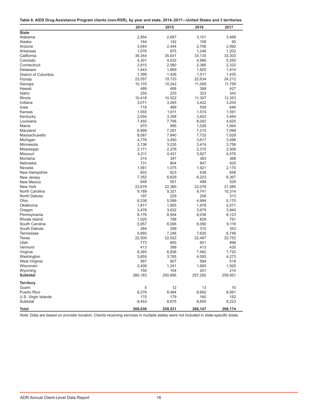<span id="page-18-0"></span>

| Table 8. AIDS Drug Assistance Program clients (non-RSR), by year and state, 2014–2017—United States and 3 territories |
|-----------------------------------------------------------------------------------------------------------------------|
|-----------------------------------------------------------------------------------------------------------------------|

|                      | 2014    | 2015    | 2016    | 2017    |
|----------------------|---------|---------|---------|---------|
| <b>State</b>         |         |         |         |         |
| Alabama              | 2,854   | 2,697   | 3,101   | 3,468   |
| Alaska               | 144     | 142     | 109     | 90      |
| Arizona              | 3,044   | 2,444   | 2,706   | 2,992   |
| Arkansas             | 1,076   | 975     | 1,246   | 1,202   |
| California           | 39,344  | 35,631  | 33,135  | 33,303  |
| Colorado             | 4,301   | 4,532   | 4,966   | 5,293   |
| Connecticut          | 2,815   | 2,580   | 2,366   | 2,332   |
| Delaware             | 1,443   | 1,669   | 1,925   | 1,814   |
| District of Columbia | 1,399   | 1,426   | 1,511   | 1,435   |
| Florida              | 23,057  | 19,733  | 22,634  | 24,212  |
| Georgia              | 10,103  | 10,242  | 11,009  | 11,759  |
| Hawaii               | 489     | 406     | 399     | 427     |
| Idaho                | 255     | 233     | 323     | 343     |
| Illinois             | 10,418  | 10,522  | 11,307  | 12,353  |
| Indiana              | 3,071   | 3,265   | 3,422   | 3,204   |
| lowa                 | 718     | 489     | 559     | 646     |
| Kansas               | 1,555   | 1,611   | 1,574   | 1,591   |
| Kentucky             | 2,054   | 3,358   | 3,453   | 3,464   |
| Louisiana            | 7,450   | 7,706   | 8,042   | 4,625   |
| Maine                | 970     | 995     | 1,026   | 1,064   |
| Maryland             | 6,999   | 7,291   | 7,215   | 7,099   |
| Massachusetts        | 8,087   | 7,840   | 7,732   | 7,629   |
| Michigan             | 4,776   | 3,450   | 3,617   | 3,498   |
| Minnesota            | 3,136   | 3,235   | 3,474   | 3,756   |
| Mississippi          | 2,171   | 2,276   | 2,315   | 2,508   |
| Missouri             | 4,211   | 4,431   | 3,927   | 4,576   |
| Montana              | 314     | 347     | 363     | 368     |
| Nebraska             | 731     | 804     | 847     | 925     |
| Nevada               | 1,561   | 1,075   | 1,921   | 2,170   |
| New Hampshire        | 603     | 623     | 638     | 658     |
| New Jersey           | 7,352   | 6,629   | 6,223   | 6,367   |
| New Mexico           | 848     | 501     | 498     | 528     |
| New York             | 23,678  | 22,360  | 22,078  | 21,585  |
| North Carolina       | 9,189   | 9,321   | 9,741   | 10,314  |
| North Dakota         | 197     | 229     | 258     | 313     |
| Ohio                 | 6,338   | 5,099   | 4,994   | 5,170   |
| Oklahoma             | 1,817   | 1,855   | 1,978   | 2,071   |
| Oregon               | 3,478   | 3,632   | 3,679   | 3,940   |
| Pennsylvania         | 8,176   | 8,454   | 8,036   | 8,123   |
| Rhode Island         | 1,020   | 798     | 829     | 791     |
| South Carolina       | 5,957   | 6,006   | 6,090   | 6,118   |
| South Dakota         | 264     | 299     | 315     | 353     |
| <b>Tennessee</b>     | 5,660   | 7,246   | 7,630   | 6,749   |
| <b>Texas</b>         | 22,500  | 22,522  | 22,487  | 22,752  |
| Utah                 | 773     | 855     | 921     | 898     |
| Vermont              | 413     | 399     | 413     | 430     |
| Virginia             | 6,393   | 6,836   | 7,482   | 7,720   |
| Washington           | 3,855   | 3,785   | 4,093   | 4,273   |
| West Virginia        | 567     | 607     | 584     | 518     |
| Wisconsin            | 2,409   | 1,241   | 1,900   | 1,920   |
| Wyoming              | 150     | 154     | 201     | 214     |
| Subtotal             | 260,183 | 250,856 | 257,292 | 259,951 |
| <b>Territory</b>     |         |         |         |         |
| Guam                 | 5       | 12      | 13      | 10      |
| Puerto Rico          | 8,278   | 8,484   | 8,682   | 8,061   |
| U.S. Virgin Islands  | 170     | 179     | 160     | 152     |
| Subtotal             | 8,453   | 8,675   | 8,855   | 8,223   |
| <b>Total</b>         | 268,636 | 259,531 | 266,147 | 268,174 |

*Note:* Data are based on provider location. Clients receiving services in multiple states were not included in state-specific totals.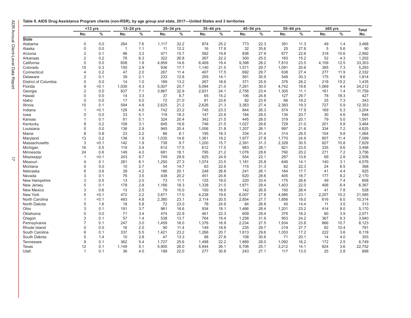#### <span id="page-19-0"></span>**Table 9. AIDS Drug Assistance Program clients (non-RSR), by age group and state, 2017—United States and 3 territories**

|                      |                | $<$ 13 yrs | 13-24 yrs      |     |       | 25-34 yrs | 35-44 yrs |               | 45-54 yrs |      |       | 55-64 yrs<br>$\geq 65$ yrs |       | <b>Total</b> |        |
|----------------------|----------------|------------|----------------|-----|-------|-----------|-----------|---------------|-----------|------|-------|----------------------------|-------|--------------|--------|
|                      | No.            | $\%$       | No.            | %   | No.   | $\%$      | No.       | $\frac{0}{0}$ | No.       | $\%$ | No.   | $\frac{0}{0}$              | No.   | $\%$         | No.    |
| <b>State</b>         |                |            |                |     |       |           |           |               |           |      |       |                            |       |              |        |
| Alabama              | $\mathbf 0$    | 0.0        | 264            | 7.6 | 1,117 | 32.2      | 874       | 25.2          | 773       | 22.3 | 391   | 11.3                       | 49    | 1.4          | 3,468  |
| Alaska               | 0              | 0.0        | $\overline{1}$ | 1.1 | 11    | 12.2      | 16        | 17.8          | 32        | 35.6 | 25    | 27.8                       | 5     | 5.6          | 90     |
| Arizona              | 2              | 0.1        | 96             | 3.2 | 471   | 15.7      | 592       | 19.8          | 836       | 27.9 | 677   | 22.6                       | 318   | 10.6         | 2,992  |
| Arkansas             | $\overline{2}$ | 0.2        | 76             | 6.3 | 322   | 26.8      | 267       | 22.2          | 300       | 25.0 | 183   | 15.2                       | 52    | 4.3          | 1,202  |
| California           | 0              | 0.0        | 608            | 1.8 | 4,859 | 14.6      | 6,469     | 19.4          | 9,398     | 28.2 | 7,810 | 23.5                       | 4,159 | 12.5         | 33,303 |
| Colorado             | 15             | 0.3        | 155            | 2.9 | 936   | 17.7      | 1,140     | 21.5          | 1,571     | 29.7 | 1,091 | 20.6                       | 385   | 7.3          | 5,293  |
| Connecticut          | 4              | 0.2        | 47             | 2.0 | 267   | 11.4      | 407       | 17.5          | 692       | 29.7 | 638   | 27.4                       | 277   | 11.9         | 2,332  |
| Delaware             | $\overline{2}$ | 0.1        | 39             | 2.1 | 233   | 12.8      | 255       | 14.1          | 561       | 30.9 | 549   | 30.3                       | 175   | 9.6          | 1,814  |
| District of Columbia | $\Omega$       | 0.0        | 14             | 1.0 | 189   | 13.2      | 267       | 18.6          | 371       | 25.9 | 376   | 26.2                       | 218   | 15.2         | 1,435  |
| Florida              | 9              | < 0.1      | 1,030          | 4.3 | 5,007 | 20.7      | 5,094     | 21.0          | 7,261     | 30.0 | 4,742 | 19.6                       | 1,069 | 4.4          | 24,212 |
| Georgia              | $\overline{2}$ | 0.0        | 837            | 7.1 | 3,867 | 32.9      | 2,831     | 24.1          | 2,756     | 23.4 | 1,305 | 11.1                       | 161   | 1.4          | 11,759 |
| Hawaii               | $\Omega$       | 0.0        | 14             | 3.3 | 37    | 8.7       | 65        | 15.2          | 106       | 24.8 | 127   | 29.7                       | 78    | 18.3         | 427    |
| Idaho                | $\Omega$       | 0.0        | 17             | 5.0 | 72    | 21.0      | 81        | 23.6          | 82        | 23.9 | 66    | 19.2                       | 25    | 7.3          | 343    |
| Illinois             | 15             | 0.1        | 594            | 4.8 | 2,625 | 21.2      | 2,626     | 21.3          | 3,383     | 27.4 | 2,383 | 19.3                       | 727   | 5.9          | 12,353 |
| Indiana              | $\overline{1}$ | < 0.1      | 129            | 4.0 | 742   | 23.2      | 745       | 23.3          | 844       | 26.3 | 574   | 17.9                       | 169   | 5.3          | 3,204  |
| lowa                 | 0              | 0.0        | 33             | 5.1 | 118   | 18.3      | 147       | 22.8          | 184       | 28.5 | 134   | 20.7                       | 30    | 4.6          | 646    |
| Kansas               | 1              | 0.1        | 81             | 5.1 | 324   | 20.4      | 342       | 21.5          | 445       | 28.0 | 319   | 20.1                       | 79    | 5.0          | 1,591  |
| Kentucky             | 8              | 0.2        | 108            | 3.1 | 645   | 18.6      | 746       | 21.5          | 1,027     | 29.6 | 729   | 21.0                       | 201   | 5.8          | 3,464  |
| Louisiana            | 0              | 0.0        | 136            | 2.9 | 945   | 20.4      | 1,006     | 21.8          | 1,207     | 26.1 | 997   | 21.6                       | 334   | 7.2          | 4,625  |
| Maine                | 8              | 0.8        | 23             | 2.2 | 86    | 8.1       | 195       | 18.3          | 334       | 31.4 | 314   | 29.5                       | 104   | 9.8          | 1,064  |
| Maryland             | 13             | 0.2        | 136            | 1.9 | 1,035 | 14.6      | 1,361     | 19.2          | 1,977     | 27.8 | 1,770 | 24.9                       | 807   | 11.4         | 7,099  |
| Massachusetts        | 3              | < 0.1      | 142            | 1.9 | 738   | 9.7       | 1,200     | 15.7          | 2,391     | 31.3 | 2,328 | 30.5                       | 827   | 10.8         | 7,629  |
| Michigan             | 16             | 0.5        | 119            | 3.4 | 612   | 17.5      | 612       | 17.5          | 983       | 28.1 | 821   | 23.5                       | 335   | 9.6          | 3,498  |
| Minnesota            | 24             | 0.6        | 149            | 4.0 | 681   | 18.1      | 795       | 21.2          | 1.076     | 28.6 | 760   | 20.2                       | 271   | 7.2          | 3.756  |
| Mississippi          | $\overline{1}$ | < 0.1      | 243            | 9.7 | 749   | 29.9      | 625       | 24.9          | 554       | 22.1 | 267   | 10.6                       | 69    | 2.8          | 2,508  |
| Missouri             | 4              | 0.1        | 281            | 6.1 | 1,250 | 27.3      | 1,074     | 23.5          | 1,181     | 25.8 | 646   | 14.1                       | 140   | 3.1          | 4,576  |
| Montana              | 0              | 0.0        | 10             | 2.7 | 54    | 14.7      | 83        | 22.6          | 115       | 31.3 | 82    | 22.3                       | 24    | 6.5          | 368    |
| Nebraska             | 6              | 0.6        | 39             | 4.2 | 186   | 20.1      | 248       | 26.8          | 241       | 26.1 | 164   | 17.7                       | 41    | 4.4          | 925    |
| Nevada               | 3              | 0.1        | 76             | 3.5 | 438   | 20.2      | 451       | 20.8          | 620       | 28.6 | 405   | 18.7                       | 177   | 8.2          | 2,170  |
| New Hampshire        | 3              | 0.5        | 13             | 2.0 | 73    | 11.1      | 125       | 19.0          | 220       | 33.4 | 175   | 26.6                       | 49    | 7.4          | 658    |
| New Jersey           | 5              | 0.1        | 178            | 2.8 | 1,166 | 18.3      | 1,338     | 21.0          | 1,871     | 29.4 | 1,403 | 22.0                       | 406   | 6.4          | 6,367  |
| New Mexico           | 3              | 0.6        | 13             | 2.5 | 79    | 15.0      | 100       | 18.9          | 142       | 26.9 | 150   | 28.4                       | 41    | 7.8          | 528    |
| New York             | 5              | < 0.1      | 472            | 2.2 | 3,671 | 17.0      | 4,238     | 19.6          | 6,007     | 27.8 | 4,985 | 23.1                       | 2,207 | 10.2         | 21,585 |
| North Carolina       | 1              | < 0.1      | 493            | 4.8 | 2,380 | 23.1      | 2,114     | 20.5          | 2,854     | 27.7 | 1,856 | 18.0                       | 616   | 6.0          | 10,314 |
| North Dakota         | 5              | 1.6        | 18             | 5.8 | 72    | 23.0      | 78        | 24.9          | 84        | 26.8 | 45    | 14.4                       | 11    | 3.5          | 313    |
| Ohio                 | 3              | 0.1        | 191            | 3.7 | 961   | 18.6      | 934       | 18.1          | 1,466     | 28.4 | 1,201 | 23.2                       | 414   | 8.0          | 5,170  |
| Oklahoma             | $\Omega$       | 0.0        | 71             | 3.4 | 474   | 22.9      | 461       | 22.3          | 609       | 29.4 | 376   | 18.2                       | 80    | 3.9          | 2,071  |
| Oregon               | 3              | 0.1        | 57             | 1.4 | 538   | 13.7      | 764       | 19.4          | 1,258     | 31.9 | 953   | 24.2                       | 367   | 9.3          | 3,940  |
| Pennsylvania         | $\overline{7}$ | 0.1        | 247            | 3.0 | 1,459 | 18.0      | 1,376     | 16.9          | 2,234     | 27.5 | 1,934 | 23.8                       | 866   | 10.7         | 8,123  |
| Rhode Island         | 0              | 0.0        | 16             | 2.0 | 90    | 11.4      | 149       | 18.8          | 235       | 29.7 | 219   | 27.7                       | 82    | 10.4         | 791    |
| South Carolina       | 6              | 0.1        | 337            | 5.5 | 1,421 | 23.2      | 1,266     | 20.7          | 1,813     | 29.6 | 1,053 | 17.2                       | 222   | 3.6          | 6,118  |
| South Dakota         | 5              | 1.4        | 10             | 2.8 | 47    | 13.3      | 98        | 27.8          | 108       | 30.6 | 71    | 20.1                       | 14    | 4.0          | 353    |
| <b>Tennessee</b>     | 9              | 0.1        | 362            | 5.4 | 1,727 | 25.6      | 1,498     | 22.2          | 1,889     | 28.0 | 1,092 | 16.2                       | 172   | 2.5          | 6,749  |
| Texas                | 12             | 0.1        | 1.149          | 5.1 | 5,905 | 26.0      | 5,944     | 26.1          | 5,706     | 25.1 | 3,212 | 14.1                       | 824   | 3.6          | 22,752 |
| Utah                 | $\mathbf{1}$   | 0.1        | 36             | 4.0 | 199   | 22.0      | 277       | 30.8          | 243       | 27.1 | 117   | 13.0                       | 25    | 2.8          | 898    |
|                      |                |            |                |     |       |           |           |               |           |      |       |                            |       |              |        |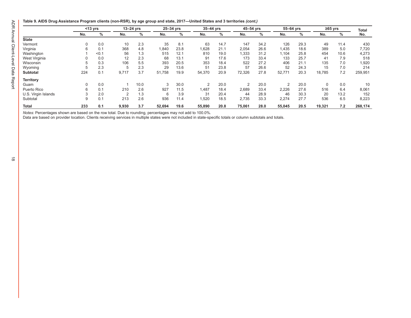#### **Table 9. AIDS Drug Assistance Program clients (non-RSR), by age group and state, 2017—United States and 3 territories** *(cont.)*

|                     |          | $<$ 13 yrs |                | $13-24$ yrs |        | 25-34 yrs |        | 35-44 yrs |        | 45–54 yrs |        | 55-64 yrs | $\geq 65$ yrs |      | <b>Total</b> |
|---------------------|----------|------------|----------------|-------------|--------|-----------|--------|-----------|--------|-----------|--------|-----------|---------------|------|--------------|
|                     | No.      | %          | No.            | %           | No.    | %         | No.    | %         | No.    | %         | No.    | %         | No.           | %    | No.          |
| <b>State</b>        |          |            |                |             |        |           |        |           |        |           |        |           |               |      |              |
| Vermont             | $\Omega$ | 0.0        | 10             | 2.3         | 35     | 8.1       | 63     | 14.7      | 147    | 34.2      | 126    | 29.3      | 49            | 11.4 | 430          |
| Virginia            | 6        | 0.1        | 368            | 4.8         | 1,840  | 23.8      | 1,628  | 21.1      | 2,054  | 26.6      | 1,435  | 18.6      | 389           | 5.0  | 7,720        |
| Washington          |          | < 0.1      | 56             | 1.3         | 515    | 12.1      | 810    | 19.0      | 1,333  | 31.2      | 1,104  | 25.8      | 454           | 10.6 | 4,273        |
| West Virginia       |          | 0.0        | 12             | 2.3         | 68     | 13.1      | 91     | 17.6      | 173    | 33.4      | 133    | 25.7      | 41            | 7.9  | 518          |
| Wisconsin           |          | 0.3        | 106            | 5.5         | 393    | 20.5      | 353    | 18.4      | 522    | 27.2      | 406    | 21.1      | 135           | 7.0  | 1,920        |
| Wyoming             |          | 2.3        | 5              | 2.3         | 29     | 13.6      | 51     | 23.8      | 57     | 26.6      | 52     | 24.3      | 15            | 7.0  | 214          |
| <b>Subtotal</b>     | 224      | 0.1        | 9,717          | 3.7         | 51,758 | 19.9      | 54,370 | 20.9      | 72,326 | 27.8      | 52,771 | 20.3      | 18,785        | 7.2  | 259,951      |
| <b>Territory</b>    |          |            |                |             |        |           |        |           |        |           |        |           |               |      |              |
| Guam                | 0        | 0.0        |                | 10.0        | 3      | 30.0      | 2      | 20.0      | 2      | 20.0      | 2      | 20.0      | 0             | 0.0  | 10           |
| Puerto Rico         | 6        | 0.1        | 210            | 2.6         | 927    | 11.5      | 1,487  | 18.4      | 2,689  | 33.4      | 2,226  | 27.6      | 516           | 6.4  | 8,061        |
| U.S. Virgin Islands |          | 2.0        | $\overline{2}$ | 1.3         | 6      | 3.9       | 31     | 20.4      | 44     | 28.9      | 46     | 30.3      | 20            | 13.2 | 152          |
| Subtotal            | 9        | 0.1        | 213            | 2.6         | 936    | 11.4      | 1,520  | 18.5      | 2,735  | 33.3      | 2,274  | 27.7      | 536           | 6.5  | 8,223        |
| <b>Total</b>        | 233      | 0.1        | 9,930          | 3.7         | 52,694 | 19.6      | 55,890 | 20.8      | 75,061 | 28.0      | 55,045 | 20.5      | 19,321        | 7.2  | 268,174      |

*Notes:* Percentages shown are based on the row total. Due to rounding, percentages may not add to 100.0%.

Data are based on provider location. Clients receiving services in multiple states were not included in state-specific totals or column subtotals and totals.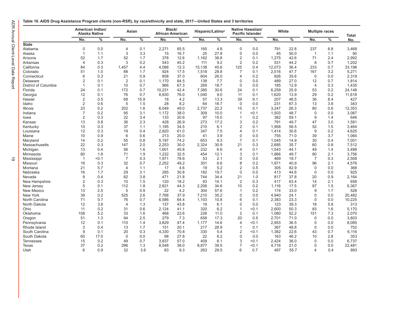<span id="page-21-0"></span>

| Table 10. AIDS Drug Assistance Program clients (non-RSR), by race/ethnicity and state, 2017—United States and 3 territories |
|-----------------------------------------------------------------------------------------------------------------------------|
|-----------------------------------------------------------------------------------------------------------------------------|

|                      |                | American Indian/<br>Alaska Native | Asian          |               | Black/<br><b>African American</b> |      | Hispanic/Latino <sup>a</sup> |             |                | Native Hawaiian/<br><b>Pacific Islander</b> | White        |              | <b>Multiple races</b> |     | <b>Total</b> |
|----------------------|----------------|-----------------------------------|----------------|---------------|-----------------------------------|------|------------------------------|-------------|----------------|---------------------------------------------|--------------|--------------|-----------------------|-----|--------------|
|                      | No.            | $\%$                              | No.            | $\frac{9}{6}$ | No.                               | $\%$ | No.                          | $\%$        | No.            | $\frac{0}{0}$                               | No.          | %            | No.                   | %   | No.          |
| <b>State</b>         |                |                                   |                |               |                                   |      |                              |             |                |                                             |              |              |                       |     |              |
| Alabama              | $\Omega$       | 0.0                               | $\overline{4}$ | 0.1           | 2,271                             | 65.5 | 165                          | 4.8         | $\mathbf 0$    | 0.0                                         | 791          | 22.8         | 237                   | 6.8 | 3,468        |
| Alaska               | $\mathbf{1}$   | 1.1                               | 3              | 3.3           | 15                                | 16.7 | 25                           | 27.8        | $\mathbf{0}$   | 0.0                                         | 45           | 50.0         | $\overline{1}$        | 1.1 | 90           |
| Arizona              | 52             | 1.7                               | 52             | 1.7           | 378                               | 12.6 | 1,162                        | 38.8        | $\overline{2}$ | 0.1                                         | 1,275        | 42.6         | 71                    | 2.4 | 2,992        |
| Arkansas             | $\overline{4}$ | 0.3                               | 3              | 0.2           | 543                               | 45.2 | 111                          | 9.2         | $\overline{2}$ | 0.2                                         | 531          | 44.2         | 8                     | 0.7 | 1,202        |
| California           | 84             | 0.3                               | 1,457          | 4.4           | 4,088                             | 12.3 | 15.138                       | 45.6        | 125            | 0.4                                         | 12,073       | 36.4         | 233                   | 0.7 | 33,198       |
| Colorado             | 51             | 1.0                               | 88             | 1.7           | 924                               | 17.5 | 1,518                        | 28.8        | 7              | 0.1                                         | 2,516        | 47.7         | 167                   | 3.2 | 5,271        |
| Connecticut          | 6              | 0.3                               | 21             | 0.9           | 858                               | 37.0 | 604                          | 26.0        | 4              | 0.2                                         | 826          | 35.6         | $\mathbf 0$           | 0.0 | 2,319        |
| Delaware             | $\overline{2}$ | 0.1                               | $\overline{2}$ | 0.1           | 1,170                             | 64.5 | 139                          | 7.7         | $\Omega$       | 0.0                                         | 489          | 27.0         | 12                    | 0.7 | 1,814        |
| District of Columbia | 1              | 0.1                               | 10             | 0.7           | 966                               | 67.3 | 269                          | 18.7        | $\mathbf 0$    | 0.0                                         | 185          | 12.9         | $\overline{4}$        | 0.3 | 1,435        |
| Florida              | 24             | 0.1                               | 172            | 0.7           | 10,231                            | 42.4 | 7,385                        | 30.6        | 24             | 0.1                                         | 6,259        | 25.9         | 53                    | 0.2 | 24,148       |
| Georgia              | 12             | 0.1                               | 76             | 0.7           | 8,830                             | 76.0 | 1,040                        | 9.0         | 11             | 0.1                                         | 1,620        | 13.9         | 29                    | 0.2 | 11,618       |
| Hawaii               | $\overline{2}$ | 0.5                               | 68             | 15.9          | 18                                | 4.2  | 57                           | 13.3        | 39             | 9.1                                         | 207          | 48.5         | 36                    | 8.4 | 427          |
| Idaho                | $\overline{2}$ | 0.6                               | 5              | 1.5           | 28                                | 8.2  | 64                           | 18.7        | $\mathbf{0}$   | 0.0                                         | 231          | 67.3         | 13                    | 3.8 | 343          |
| Illinois             | 23             | 0.2                               | 202            | 1.6           | 6,049                             | 49.0 | 2,737                        | 22.2        | 15             | 0.1                                         | 3,247        | 26.3         | 80                    | 0.6 | 12,353       |
| Indiana              | $\overline{7}$ | 0.2                               | 95             | 3.1           | 1,172                             | 38.0 | 309                          | 10.0        | $\mathbf{1}$   | $0.1$                                       | 1,503        | 48.7         | $\mathbf 0$           | 0.0 | 3,087        |
| lowa                 | $\overline{2}$ | 0.3                               | 22             | 3.4           | 133                               | 20.6 | 97                           | 15.0        | $\overline{1}$ | 0.2                                         | 382          | 59.1         | 9                     | 1.4 | 646          |
| Kansas               | 13             | 0.8                               | 36             | 2.3           | 428                               | 26.9 | 273                          | 17.2        | 3              | 0.2                                         | 791          | 49.7         | 47                    | 3.0 | 1,591        |
| Kentucky             | 10             | 0.3                               | 37             | 1.1           | 1,195                             | 34.5 | 210                          | 6.1         | $\overline{2}$ | 0.1                                         | 1,958        | 56.5         | 52                    | 1.5 | 3,464        |
| Louisiana            | 12             | 0.3                               | 19             | 0.4           | 2,820                             | 61.0 | 347                          | 7.5         | 4              | 0.1                                         | 1,414        | 30.6         | 9                     | 0.2 | 4,625        |
| Maine                | 10             | 0.9                               | 6              | 0.6           | 213                               | 20.0 | 41                           | 3.9         | $\mathbf 0$    | 0.0                                         | 755          | 71.0         | 39                    | 3.7 | 1,064        |
| Maryland             | 14             | 0.2                               | 55             | 0.8           | 5,197                             | 74.2 | 653                          | 9.3         | $\overline{7}$ | 0.1                                         | 1,045        | 14.9         | 30                    | 0.4 | 7,001        |
| Massachusetts        | 22             | 0.3                               | 147            | 2.0           | 2,253                             | 30.0 | 2,324                        | 30.9        | 21             | 0.3                                         | 2,685        | 35.7         | 60                    | 0.8 | 7,512        |
| Michigan             | 13             | 0.4                               | 56             | 1.6           | 1,601                             | 45.8 | 232                          | 6.6         | 4              | 0.1                                         | 1,543        | 44.1         | 49                    | 1.4 | 3,498        |
|                      | 60             | 1.6                               | 71             |               |                                   | 32.5 | 454                          |             | 3              | 0.1                                         |              | 49.7         | 80                    | 2.1 | 3,756        |
| Minnesota            | $\mathbf{1}$   | < 0.1                             | $\overline{7}$ | 1.9<br>0.3    | 1,222<br>1,971                    | 78.6 | 53                           | 12.1<br>2.1 | $\mathbf 0$    | 0.0                                         | 1,866<br>469 | 18.7         | $\overline{7}$        | 0.3 | 2,508        |
| Mississippi          |                |                                   |                |               |                                   |      |                              |             |                |                                             |              |              |                       |     |              |
| Missouri             | 16             | 0.3<br>5.7                        | 32             | 0.7           | 2,252<br>17                       | 49.2 | 301                          | 6.6<br>5.2  | 8              | 0.2                                         | 1,871        | 40.9<br>82.9 | 96<br>$\mathbf 0$     | 2.1 | 4,576<br>368 |
| Montana              | 21             |                                   | $\overline{4}$ | 1.1           |                                   | 4.6  | 19                           |             | $\overline{2}$ | 0.5                                         | 305          |              |                       | 0.0 |              |
| Nebraska             | 16             | 1.7                               | 29             | 3.1           | 285                               | 30.8 | 182                          | 19.7        | $\mathbf 0$    | 0.0                                         | 413          | 44.6         | $\mathbf 0$           | 0.0 | 925          |
| Nevada               | 9              | 0.4                               | 82             | 3.8           | 471                               | 21.8 | 744                          | 34.4        | 21             | 1.0                                         | 817          | 37.8         | 20                    | 0.9 | 2,164        |
| New Hampshire        | $\overline{2}$ | 0.3                               | 10             | 1.5           | 120                               | 18.2 | 93                           | 14.1        | $\overline{2}$ | 0.3                                         | 417          | 63.4         | 14                    | 2.1 | 658          |
| New Jersey           | 5              | 0.1                               | 112            | 1.8           | 2,821                             | 44.3 | 2,206                        | 34.6        | 10             | 0.2                                         | 1,116        | 17.5         | 97                    | 1.5 | 6,367        |
| New Mexico           | 13             | 2.5                               | 5              | 0.9           | 22                                | 4.2  | 304                          | 57.6        | $\mathbf{1}$   | 0.2                                         | 174          | 33.0         | 9                     | 1.7 | 528          |
| New York             | 39             | 0.2                               | 525            | 2.6           | 7.768                             | 37.9 | 7.210                        | 35.2        | $\mathbf 0$    | 0.0                                         | 4.940        | 24.1         | $\Omega$              | 0.0 | 20,482       |
| North Carolina       | 71             | 0.7                               | 76             | 0.7           | 6,586                             | 64.4 | 1,103                        | 10.8        | 6              | 0.1                                         | 2,383        | 23.3         | $\mathbf 0$           | 0.0 | 10,225       |
| North Dakota         | 12             | 3.8                               | $\overline{4}$ | 1.3           | 137                               | 43.8 | 19                           | 6.1         | $\mathbf 0$    | 0.0                                         | 123          | 39.3         | 18                    | 5.8 | 313          |
| Ohio                 | 11             | 0.2                               | 31             | 0.6           | 2,124                             | 41.1 | 320                          | 6.2         | $\mathbf{1}$   | < 0.1                                       | 2,600        | 50.3         | 83                    | 1.6 | 5,170        |
| Oklahoma             | 108            | 5.2                               | 33             | 1.6           | 468                               | 22.6 | 228                          | 11.0        | $\overline{2}$ | 0.1                                         | 1,080        | 52.2         | 151                   | 7.3 | 2,070        |
| Oregon               | 51             | 1.3                               | 94             | 2.5           | 279                               | 7.3  | 658                          | 17.3        | 20             | 0.5                                         | 2,701        | 71.0         | $\mathbf 0$           | 0.0 | 3,803        |
| Pennsylvania         | 12             | 0.1                               | 110            | 1.4           | 3,829                             | 47.4 | 1,177                        | 14.6        | $\overline{4}$ | < 0.1                                       | 2,953        | 36.5         | $\mathbf 0$           | 0.0 | 8,085        |
| Rhode Island         | 3              | 0.4                               | 13             | 1.7           | 151                               | 20.1 | 217                          | 28.9        | $\mathbf{1}$   | 0.1                                         | 367          | 48.8         | $\Omega$              | 0.0 | 752          |
| South Carolina       | 9              | 0.1                               | 20             | 0.3           | 4,330                             | 70.8 | 330                          | 5.4         | $\overline{2}$ | < 0.1                                       | 1,382        | 22.6         | 43                    | 0.7 | 6,116        |
| South Dakota         | 60             | 17.0                              | $\Omega$       | 0.0           | 98                                | 27.8 | 22                           | 6.2         | $\Omega$       | 0.0                                         | 163          | 46.2         | 10                    | 2.8 | 353          |
| <b>Tennessee</b>     | 15             | 0.2                               | 49             | 0.7           | 3,837                             | 57.0 | 409                          | 6.1         | 3              | < 0.1                                       | 2,424        | 36.0         | $\mathbf 0$           | 0.0 | 6,737        |
| Texas                | 37             | 0.2                               | 296            | 1.3           | 8,548                             | 38.0 | 8,877                        | 39.5        | $\overline{7}$ | < 0.1                                       | 4,716        | 21.0         | $\Omega$              | 0.0 | 22,481       |
| Utah                 | 8              | 0.9                               | 32             | 3.6           | 83                                | 9.3  | 263                          | 29.5        | 6              | 0.7                                         | 497          | 55.7         | 4                     | 0.4 | 893          |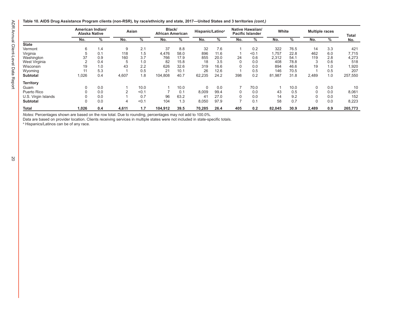|  |  | Table 10. AIDS Drug Assistance Program clients (non-RSR), by race/ethnicity and state, 2017—United States and 3 territories <i>(cont.)</i> |  |  |
|--|--|--------------------------------------------------------------------------------------------------------------------------------------------|--|--|
|  |  |                                                                                                                                            |  |  |

|                     | American Indian/<br><b>Alaska Native</b> |     | Asian |       | Black/<br><b>African American</b> |      | Hispanic/Latino <sup>a</sup> |      | <b>Native Hawaiian/</b><br><b>Pacific Islander</b> |       | White  |      | <b>Multiple races</b> |     | Total   |
|---------------------|------------------------------------------|-----|-------|-------|-----------------------------------|------|------------------------------|------|----------------------------------------------------|-------|--------|------|-----------------------|-----|---------|
|                     | No.                                      | %   | No.   | %     | No.                               | %    | No.                          | %    | No.                                                | %     | No.    | %    | No.                   | %   | No.     |
| <b>State</b>        |                                          |     |       |       |                                   |      |                              |      |                                                    |       |        |      |                       |     |         |
| Vermont             | 6                                        | 1.4 | 9     | 2.1   | 37                                | 8.8  | 32                           | 7.6  |                                                    | 0.2   | 322    | 76.5 | 14                    | 3.3 | 421     |
| Virginia            |                                          | 0.1 | 118   | 1.5   | 4.476                             | 58.0 | 896                          | 11.6 |                                                    | < 0.1 | 1.757  | 22.8 | 462                   | 6.0 | 7,715   |
| Washington          | 37                                       | 0.9 | 160   | 3.7   | 766                               | 17.9 | 855                          | 20.0 | 24                                                 | 0.6   | 2,312  | 54.1 | 119                   | 2.8 | 4,273   |
| West Virginia       |                                          | 0.4 | 5     | 1.0   | 82                                | 15.8 | 18                           | 3.5  | $\mathbf 0$                                        | 0.0   | 408    | 78.8 | 3                     | 0.6 | 518     |
| Wisconsin           | 19                                       | 1.0 | 43    | 2.2   | 626                               | 32.6 | 319                          | 16.6 | 0                                                  | 0.0   | 894    | 46.6 | 19                    | 1.0 | 1,920   |
| Wyoming             |                                          | 5.3 |       | 0.5   | 21                                | 10.1 | 26                           | 12.6 |                                                    | 0.5   | 146    | 70.5 |                       | 0.5 | 207     |
| <b>Subtotal</b>     | 1,026                                    | 0.4 | 4,607 | 1.8   | 104,808                           | 40.7 | 62,235                       | 24.2 | 398                                                | 0.2   | 81,987 | 31.8 | 2,489                 | 1.0 | 257,550 |
| <b>Territory</b>    |                                          |     |       |       |                                   |      |                              |      |                                                    |       |        |      |                       |     |         |
| Guam                |                                          | 0.0 |       | 10.0  |                                   | 10.0 | $\Omega$                     | 0.0  |                                                    | 70.0  |        | 10.0 | $\Omega$              | 0.0 | 10      |
| Puerto Rico         |                                          | 0.0 | っ     | < 0.1 |                                   | 0.1  | 8.009                        | 99.4 | 0                                                  | 0.0   | 43     | 0.5  | $\Omega$              | 0.0 | 8,061   |
| U.S. Virgin Islands |                                          | 0.0 |       | 0.7   | 96                                | 63.2 | 41                           | 27.0 | $\Omega$                                           | 0.0   | 14     | 9.2  |                       | 0.0 | 152     |
| <b>Subtotal</b>     |                                          | 0.0 | 4     | < 0.1 | 104                               | 1.3  | 8,050                        | 97.9 |                                                    | 0.1   | 58     | 0.7  | 0                     | 0.0 | 8,223   |
| <b>Total</b>        | 1,026                                    | 0.4 | 4,611 | 1.7   | 104,912                           | 39.5 | 70,285                       | 26.4 | 405                                                | 0.2   | 82,045 | 30.9 | 2,489                 | 0.9 | 265,773 |

*Notes:* Percentages shown are based on the row total. Due to rounding, percentages may not add to 100.0%.

Data are based on provider location. Clients receiving services in multiple states were not included in state-specific totals. a Hispanics/Latinos can be of any race.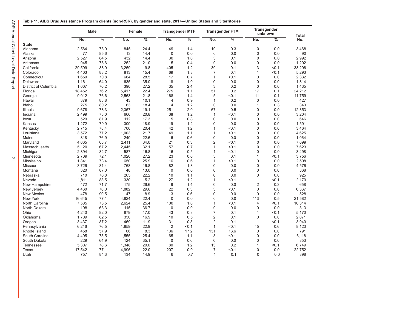<span id="page-23-0"></span>

|  |  | Table 11. AIDS Drug Assistance Program clients (non-RSR), by gender and state, 2017—United States and 3 territories |  |
|--|--|---------------------------------------------------------------------------------------------------------------------|--|
|  |  |                                                                                                                     |  |

|                      | Male   |                          | Female |               |                | <b>Transgender MTF</b> |                | <b>Transgender FTM</b>   |                | <b>Transgender</b><br>unknown | <b>Total</b> |
|----------------------|--------|--------------------------|--------|---------------|----------------|------------------------|----------------|--------------------------|----------------|-------------------------------|--------------|
|                      | No.    | $\overline{\frac{9}{6}}$ | No.    | $\frac{0}{6}$ | No.            | $\frac{9}{6}$          | No.            | $\overline{\frac{9}{6}}$ | No.            | $\frac{9}{6}$                 | No.          |
| <b>State</b>         |        |                          |        |               |                |                        |                |                          |                |                               |              |
| Alabama              | 2,564  | 73.9                     | 845    | 24.4          | 49             | 1.4                    | 10             | 0.3                      | $\mathbf 0$    | 0.0                           | 3,468        |
| Alaska               | 77     | 85.6                     | 13     | 14.4          | $\mathbf 0$    | 0.0                    | $\mathbf 0$    | 0.0                      | $\mathbf{0}$   | 0.0                           | 90           |
| Arizona              | 2,527  | 84.5                     | 432    | 14.4          | 30             | 1.0                    | 3              | 0.1                      | $\mathbf{0}$   | 0.0                           | 2,992        |
| Arkansas             | 945    | 78.6                     | 252    | 21.0          | 5              | 0.4                    | $\mathbf 0$    | 0.0                      | $\mathbf{0}$   | 0.0                           | 1,202        |
| California           | 29,599 | 88.9                     | 3,259  | 9.8           | 405            | 1.2                    | 30             | 0.1                      | 3              | < 0.1                         | 33,296       |
| Colorado             | 4,403  | 83.2                     | 813    | 15.4          | 69             | 1.3                    | $\overline{7}$ | 0.1                      | $\overline{1}$ | < 0.1                         | 5,293        |
| Connecticut          | 1,650  | 70.8                     | 664    | 28.5          | 17             | 0.7                    | $\mathbf{1}$   | < 0.1                    | $\mathbf{0}$   | 0.0                           | 2,332        |
| Delaware             | 1,161  | 64.0                     | 635    | 35.0          | 18             | 1.0                    | $\mathbf{0}$   | 0.0                      | $\mathbf{0}$   | 0.0                           | 1,814        |
| District of Columbia | 1,007  | 70.2                     | 390    | 27.2          | 35             | 2.4                    | 3              | 0.2                      | $\mathbf{0}$   | 0.0                           | 1,435        |
| Florida              | 18,452 | 76.2                     | 5,417  | 22.4          | 275            | 1.1                    | 51             | 0.2                      | 17             | 0.1                           | 24,212       |
| Georgia              | 9,012  | 76.6                     | 2,563  | 21.8          | 168            | 1.4                    | 5              | < 0.1                    | 11             | 0.1                           | 11,759       |
| Hawaii               | 379    | 88.8                     | 43     | 10.1          | 4              | 0.9                    | $\mathbf{1}$   | 0.2                      | $\mathbf 0$    | 0.0                           | 427          |
| Idaho                | 275    | 80.2                     | 63     | 18.4          | 4              | 1.2                    | $\mathbf 0$    | 0.0                      | $\mathbf{1}$   | 0.3                           | 343          |
| Illinois             | 9,678  | 78.3                     | 2,357  | 19.1          | 251            | 2.0                    | 67             | 0.5                      | $\mathbf{0}$   | 0.0                           | 12,353       |
| Indiana              | 2,499  | 78.0                     | 666    | 20.8          | 38             | 1.2                    | $\mathbf{1}$   | < 0.1                    | $\mathbf 0$    | 0.0                           | 3,204        |
| lowa                 | 529    | 81.9                     | 112    | 17.3          | 5              | 0.8                    | $\mathbf{0}$   | 0.0                      | $\mathbf{0}$   | 0.0                           | 646          |
| Kansas               | 1,272  | 79.9                     | 300    | 18.9          | 19             | 1.2                    | $\mathbf{0}$   | 0.0                      | $\mathbf 0$    | 0.0                           | 1,591        |
| Kentucky             | 2,715  | 78.4                     | 706    | 20.4          | 42             | 1.2                    | $\mathbf{1}$   | < 0.1                    | $\mathbf{0}$   | 0.0                           | 3,464        |
| Louisiana            | 3,572  | 77.2                     | 1,003  | 21.7          | 49             | 1.1                    | $\mathbf{1}$   | < 0.1                    | $\mathbf 0$    | 0.0                           | 4,625        |
| Maine                | 818    | 76.9                     | 240    | 22.6          | 6              | 0.6                    | $\mathbf 0$    | 0.0                      | $\mathbf 0$    | 0.0                           | 1,064        |
| Maryland             | 4.665  | 65.7                     | 2.411  | 34.0          | 21             | 0.3                    | $\overline{2}$ | < 0.1                    | $\mathbf 0$    | 0.0                           | 7,099        |
| Massachusetts        | 5.120  | 67.2                     | 2,445  | 32.1          | 57             | 0.7                    | $\mathbf{1}$   | < 0.1                    | $\mathbf 0$    | 0.0                           | 7,623        |
| Michigan             | 2,894  | 82.7                     | 587    | 16.8          | 16             | 0.5                    | $\mathbf{1}$   | < 0.1                    | $\mathbf 0$    | 0.0                           | 3,498        |
| Minnesota            | 2.709  | 72.1                     | 1.020  | 27.2          | 23             | 0.6                    | 3              | 0.1                      | 1              | < 0.1                         | 3,756        |
| Mississippi          | 1,841  | 73.4                     | 650    | 25.9          | 16             | 0.6                    | $\mathbf{1}$   | < 0.1                    | $\mathbf 0$    | 0.0                           | 2,508        |
| Missouri             | 3.726  | 81.4                     | 768    | 16.8          | 82             | 1.8                    | $\Omega$       | 0.0                      | $\mathbf 0$    | 0.0                           | 4,576        |
|                      | 320    | 87.0                     | 48     |               | $\mathbf 0$    | 0.0                    | $\mathbf 0$    | 0.0                      | $\mathbf 0$    | 0.0                           |              |
| Montana              |        |                          |        | 13.0<br>22.2  |                |                        |                |                          |                |                               | 368<br>925   |
| Nebraska             | 710    | 76.8                     | 205    |               | 10             | 1.1                    | $\mathbf 0$    | 0.0                      | $\mathbf 0$    | 0.0                           |              |
| Nevada               | 1,811  | 83.5                     | 330    | 15.2          | 27             | 1.2                    | $\mathbf{1}$   | < 0.1                    | $\mathbf{1}$   | < 0.1                         | 2,170        |
| New Hampshire        | 472    | 71.7                     | 175    | 26.6          | 9              | 1.4                    | $\mathbf 0$    | 0.0                      | $\overline{2}$ | 0.3                           | 658          |
| New Jersey           | 4,460  | 70.0                     | 1,882  | 29.6          | 22             | 0.3                    | 3              | < 0.1                    | $\mathbf 0$    | 0.0                           | 6,367        |
| <b>New Mexico</b>    | 478    | 90.5                     | 47     | 8.9           | 3              | 0.6                    | $\mathbf 0$    | 0.0                      | $\mathbf 0$    | 0.0                           | 528          |
| <b>New York</b>      | 16,645 | 77.1                     | 4,824  | 22.4          | $\mathbf 0$    | 0.0                    | $\mathbf 0$    | 0.0                      | 113            | 0.5                           | 21,582       |
| North Carolina       | 7,585  | 73.5                     | 2,624  | 25.4          | 100            | 1.0                    | $\mathbf{1}$   | $0.1$                    | $\overline{4}$ | < 0.1                         | 10,314       |
| North Dakota         | 198    | 63.3                     | 115    | 36.7          | $\mathbf 0$    | 0.0                    | $\mathbf 0$    | 0.0                      | $\mathbf 0$    | 0.0                           | 313          |
| Ohio                 | 4,240  | 82.0                     | 879    | 17.0          | 43             | 0.8                    | $\overline{7}$ | 0.1                      | $\overline{1}$ | < 0.1                         | 5,170        |
| Oklahoma             | 1,709  | 82.5                     | 350    | 16.9          | 10             | 0.5                    | $\overline{2}$ | 0.1                      | $\mathbf 0$    | 0.0                           | 2,071        |
| Oregon               | 3,437  | 87.2                     | 469    | 11.9          | 31             | 0.8                    | $\overline{2}$ | 0.1                      | $\overline{1}$ | < 0.1                         | 3,940        |
| Pennsylvania         | 6,216  | 76.5                     | 1,859  | 22.9          | $\overline{2}$ | < 0.1                  | $\mathbf{1}$   | < 0.1                    | 45             | 0.6                           | 8,123        |
| Rhode Island         | 458    | 57.9                     | 66     | 8.3           | 136            | 17.2                   | 131            | 16.6                     | $\mathbf 0$    | 0.0                           | 791          |
| South Carolina       | 4,495  | 73.5                     | 1,555  | 25.4          | 65             | 1.1                    | 3              | < 0.1                    | $\mathbf 0$    | 0.0                           | 6,118        |
| South Dakota         | 229    | 64.9                     | 124    | 35.1          | $\mathbf 0$    | 0.0                    | $\mathbf 0$    | 0.0                      | $\mathbf 0$    | 0.0                           | 353          |
| Tennessee            | 5,307  | 78.6                     | 1,348  | 20.0          | 80             | 1.2                    | 13             | 0.2                      | $\overline{1}$ | < 0.1                         | 6,749        |
| Texas                | 17,542 | 77.1                     | 4,996  | 22.0          | 207            | 0.9                    | 7              | < 0.1                    | $\mathbf 0$    | 0.0                           | 22,752       |
| Utah                 | 757    | 84.3                     | 134    | 14.9          | 6              | 0.7                    | 1              | 0.1                      | $\Omega$       | 0.0                           | 898          |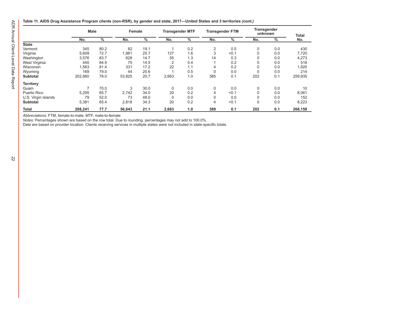**Table 11. AIDS Drug Assistance Program clients (non-RSR), by gender and state, 2017—United States and 3 territories** *(cont.)*

|                     | <b>Male</b> |      | Female |      | <b>Transgender MTF</b> |     |             | <b>Transgender FTM</b> | Transgender<br>unknown |      | Total   |
|---------------------|-------------|------|--------|------|------------------------|-----|-------------|------------------------|------------------------|------|---------|
|                     | No.         | $\%$ | No.    | %    | No.                    | %   | No.         | $\%$                   | No.                    | $\%$ | No.     |
| <b>State</b>        |             |      |        |      |                        |     |             |                        |                        |      |         |
| Vermont             | 345         | 80.2 | 82     | 19.1 |                        | 0.2 | 2           | 0.5                    | 0                      | 0.0  | 430     |
| Virginia            | 5.609       | 72.7 | 1,981  | 25.7 | 127                    | 1.6 | 3           | < 0.1                  |                        | 0.0  | 7.720   |
| Washington          | 3.576       | 83.7 | 628    | 14.7 | 55                     | 1.3 | 14          | 0.3                    |                        | 0.0  | 4,273   |
| West Virginia       | 440         | 84.9 | 75     | 14.5 | 2                      | 0.4 |             | 0.2                    |                        | 0.0  | 518     |
| Wisconsin           | 1,563       | 81.4 | 331    | 17.2 | 22                     | 1.1 | 4           | 0.2                    |                        | 0.0  | 1,920   |
| Wyoming             | 169         | 79.0 | 44     | 20.6 |                        | 0.5 | $\Omega$    | 0.0                    |                        | 0.0  | 214     |
| <b>Subtotal</b>     | 202,860     | 78.0 | 53,825 | 20.7 | 2.663                  | 1.0 | 385         | 0.1                    | 202                    | 0.1  | 259,935 |
| <b>Territory</b>    |             |      |        |      |                        |     |             |                        |                        |      |         |
| Guam                | ⇁           | 70.0 | 3      | 30.0 | 0                      | 0.0 | $\mathbf 0$ | 0.0                    | 0                      | 0.0  | 10      |
| Puerto Rico         | 5,295       | 65.7 | 2.742  | 34.0 | 20                     | 0.2 | 4           | < 0.1                  |                        | 0.0  | 8,061   |
| U.S. Virgin Islands | 79          | 52.0 | 73     | 48.0 | 0                      | 0.0 | 0           | 0.0                    |                        | 0.0  | 152     |
| <b>Subtotal</b>     | 5,381       | 65.4 | 2,818  | 34.3 | 20                     | 0.2 | 4           | < 0.1                  | 0                      | 0.0  | 8,223   |
| Total               | 208,241     | 77.7 | 56,643 | 21.1 | 2,683                  | 1.0 | 389         | 0.1                    | 202                    | 0.1  | 268,158 |

*Abbreviations:* FTM, female-to-male; MTF, male-to-female.

*Notes:* Percentages shown are based on the row total. Due to rounding, percentages may not add to 100.0%.

Data are based on provider location. Clients receiving services in multiple states were not included in state-specific totals.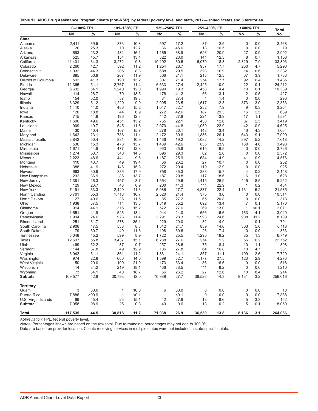<span id="page-25-0"></span>

|  |  |  | Table 12. AIDS Drug Assistance Program clients (non-RSR), by federal poverty level and state, 2017—United States and 3 territories |
|--|--|--|------------------------------------------------------------------------------------------------------------------------------------|
|  |  |  |                                                                                                                                    |

|                                 | 0-100% FPL   |               | 101-138% FPL |               |              | 139-250% FPL  |              | 251-400% FPL |                               | >400% FPL    |                     |
|---------------------------------|--------------|---------------|--------------|---------------|--------------|---------------|--------------|--------------|-------------------------------|--------------|---------------------|
|                                 | No.          | $\frac{0}{0}$ | No.          | $\frac{0}{0}$ | No.          | $\frac{0}{0}$ | No.          | $\%$         | No.                           | $\%$         | <b>Total</b><br>No. |
| <b>State</b>                    |              |               |              |               |              |               |              |              |                               |              |                     |
| Alabama                         | 2,411        | 69.5          | 373          | 10.8          | 597          | 17.2          | 87           | 2.5          | $\mathbf{0}$                  | 0.0          | 3,468               |
| Alaska                          | 20           | 25.3          | 10           | 12.7          | 36           | 45.6          | 13           | 16.5         | $\mathbf{0}$                  | 0.0          | 79                  |
| Arizona                         | 693          | 23.2          | 481          | 16.1          | 1,165        | 38.9          | 626          | 20.9         | 27                            | 0.9          | 2,992               |
| Arkansas                        | 525          | 45.7          | 154          | 13.4          | 322          | 28.0          | 141          | 12.3         | 8                             | 0.7          | 1,150               |
| California                      | 11,431       | 34.3          | 3,272        | 9.8           | 10,192       | 30.6          | 6,079        | 18.3         | 2,329                         | 7.0          | 33,303              |
| Colorado                        | 2,260        | 42.7          | 592          | 11.2          | 1,254        | 23.7          | 937          | 17.7         | 250                           | 4.7          | 5,293               |
| Connecticut<br>Delaware         | 1,032        | 44.3          | 205          | 8.8           | 688          | 29.5          | 393          | 16.9         | 14                            | 0.6          | 2,332               |
|                                 | 885<br>592   | 50.9          | 207          | 11.9          | 366          | 21.1          | 213          | 12.3         | 67                            | 3.9          | 1,738               |
| District of Columbia<br>Florida | 12,365       | 41.3<br>51.1  | 190<br>2,767 | 13.2<br>11.4  | 307<br>6,633 | 21.4<br>27.4  | 254<br>2,425 | 17.7<br>10.0 | 92<br>22                      | 6.4<br>0.1   | 1,435<br>24,212     |
| Georgia                         | 6,632        | 64.1          | 1,240        | 12.0          | 1,999        | 19.3          | 458          | 4.4          | 10                            | 0.1          | 10,339              |
| Hawaii                          | 114          | 26.7          | 79           | 18.5          | 176          | 41.2          | 56           | 13.1         | $\overline{2}$                | 0.5          | 427                 |
| Idaho                           | 154          | 52.0          | 57           | 19.3          | 81           | 27.4          | 4            | 1.4          | $\mathbf{0}$                  | 0.0          | 296                 |
| Illinois                        | 6,329        | 51.2          | 1,229        | 9.9           | 2,905        | 23.5          | 1,517        | 12.3         | 373                           | 3.0          | 12,353              |
| Indiana                         | 1,410        | 44.0          | 486          | 15.2          | 1,047        | 32.7          | 252          | 7.9          | 9                             | 0.3          | 3,204               |
| lowa                            | 120          | 18.8          | 44           | 6.9           | 272          | 42.6          | 187          | 29.3         | 16                            | 2.5          | 639                 |
| Kansas                          | 715          | 44.9          | 196          | 12.3          | 442          | 27.8          | 221          | 13.9         | 17                            | 1.1          | 1,591               |
| Kentucky                        | 1,696        | 49.6          | 451          | 13.2          | 755          | 22.1          | 430          | 12.6         | 87                            | 2.5          | 3,419               |
| Louisiana                       | 909          | 19.7          | 545          | 11.8          | 2,070        | 44.8          | 1,059        | 22.9         | 42                            | 0.9          | 4,625               |
| Maine                           | 430          | 40.4          | 167          | 15.7          | 278          | 26.1          | 143          | 13.4         | 46                            | 4.3          | 1,064               |
| Maryland                        | 1,642        | 23.1          | 786          | 11.1          | 2,172        | 30.6          | 1,856        | 26.1         | 643                           | 9.1          | 7,099               |
| Massachusetts                   | 3,842        | 50.4          | 831          | 10.9          | 1,466        | 19.2          | 1,082        | 14.2         | 397                           | 5.2          | 7,618               |
| Michigan                        | 536          | 15.3          | 478          | 13.7          | 1,489        | 42.6          | 835          | 23.9         | 160                           | 4.6          | 3,498               |
| Minnesota                       | 1,671        | 44.8          | 477          | 12.8          | 963          | 25.8          | 615          | 16.5         | $\mathbf{0}$                  | 0.0          | 3,726               |
| Mississippi                     | 1,274        | 53.7          | 340          | 14.3          | 696          | 29.3          | 62           | 2.6          | $\mathbf{0}$                  | 0.0          | 2,372               |
| Missouri                        | 2,223        | 48.6          | 441          | 9.6           | 1,187        | 25.9          | 684          | 14.9         | 41                            | 0.9          | 4,576               |
| Montana                         | 110          | 43.7          | 49           | 19.4          | 66           | 26.2          | 27           | 10.7         | $\mathbf 0$                   | 0.0          | 252                 |
| Nebraska                        | 388          | 41.9          | 146          | 15.8          | 272          | 29.4          | 119          | 12.9         | $\mathbf{0}$                  | 0.0          | 925                 |
| Nevada                          | 663          | 30.9          | 385          | 17.9          | 758          | 35.3          | 338          | 15.7         | 4                             | 0.2          | 2,148               |
| New Hampshire                   | 232          | 36.9          | 86           | 13.7          | 187          | 29.8          | 117          | 18.6         | 6                             | 1.0          | 628                 |
| New Jersey                      | 1,381        | 26.3          | 457          | 8.7           | 1,554        | 29.6          | 1,415        | 26.9         | 445                           | 8.5          | 5,252               |
| New Mexico                      | 129          | 26.7          | 43           | 8.9           | 200          | 41.3          | 111          | 22.9         | $\mathbf{1}$                  | 0.2          | 484                 |
| New York                        | 7,191        | 33.3          | 2,440        | 11.3          | 5,986        | 27.7          | 4,837        | 22.4         | 1,131                         | 5.2          | 21,585              |
| North Carolina                  | 5,701        | 55.3          | 1,718        | 16.7          | 2,520        | 24.4          | 375          | 3.6          | 0                             | 0.0          | 10,314              |
| North Dakota                    | 127          | 40.6          | 36           | 11.5          | 85           | 27.2          | 65           | 20.8         | $\mathbf 0$<br>$\overline{7}$ | 0.0          | 313                 |
| Ohio                            | 1,938<br>914 | 37.5          | 714<br>315   | 13.8<br>15.2  | 1,819        | 35.2<br>27.6  | 692          | 13.4<br>13.0 | $\mathbf{1}$                  | 0.1<br>< 0.1 | 5,170               |
| Oklahoma                        | 1,651        | 44.1<br>41.9  | 526          | 13.4          | 572<br>944   | 24.0          | 269<br>656   | 16.6         | 163                           | 4.1          | 2,071<br>3,940      |
| Oregon<br>Pennsylvania          | 1,994        | 24.6          | 923          | 11.4          | 2,291        | 28.3          | 1,993        | 24.6         | 908                           | 11.2         | 8,109               |
| Rhode Island                    | 251          | 31.7          | 278          | 35.1          | 229          | 29.0          | 32           | 4.0          | $\mathbf{1}$                  | 0.1          | 791                 |
| South Carolina                  | 2,906        | 47.5          | 538          | 8.8           | 1,512        | 24.7          | 859          | 14.0         | 303                           | 5.0          | 6,118               |
| South Dakota                    | 179          | 50.7          | 40           | 11.3          | 108          | 30.6          | 26           | 7.4          | 0                             | 0.0          | 353                 |
| <b>Tennessee</b>                | 3,048        | 45.2          | 599          | 8.9           | 1,722        | 25.5          | 1,295        | 19.2         | 85                            | 1.3          | 6,749               |
| Texas                           | 12,697       | 55.8          | 3,437        | 15.1          | 6,288        | 27.6          | 274          | 1.2          | 56                            | 0.2          | 22,752              |
| Utah                            | 469          | 52.2          | 87           | 9.7           | 257          | 28.6          | 75           | 8.4          | 10                            | 1.1          | 898                 |
| Vermont                         | 144          | 37.8          | 49           | 12.9          | 106          | 27.8          | 64           | 16.8         | 18                            | 4.7          | 381                 |
| Virginia                        | 3,942        | 51.1          | 861          | 11.2          | 1,861        | 24.1          | 857          | 11.1         | 199                           | 2.6          | 7,720               |
| Washington                      | 974          | 22.8          | 600          | 14.0          | 1,399        | 32.7          | 1,177        | 27.5         | 123                           | 2.9          | 4,273               |
| West Virginia                   | 150          | 29.0          | 109          | 21.0          | 173          | 33.4          | 86           | 16.6         | $\mathbf 0$                   | 0.0          | 518                 |
| Wisconsin                       | 414          | 34.2          | 219          | 18.1          | 466          | 38.5          | 111          | 9.2          | $\mathbf 0$                   | 0.0          | 1,210               |
| Wyoming                         | 73           | 34.1          | 40           | 18.7          | 56           | 26.2          | 27           | 12.6         | 18                            | 8.4          | 214                 |
| <b>Subtotal</b>                 | 109,577      | 42.8          | 30,793       | 12.0          | 70,989       | 27.7          | 36,526       | 14.3         | 8,131                         | 3.2          | 256,016             |
| <b>Territory</b>                |              |               |              |               |              |               |              |              |                               |              |                     |
| Guam                            | 3            | 30.0          | $\mathbf{1}$ | 10.0          | 6            | 60.0          | $\mathbf 0$  | 0.0          | $\pmb{0}$                     | 0.0          | 10                  |
| Puerto Rico                     | 7,886        | >99.9         | $\mathbf{1}$ | < 0.1         | $\mathbf{1}$ | < 0.1         | 0            | 0.0          | $\mathbf 0$                   | 0.0          | 7,888               |
| U.S. Virgin Islands             | 69           | 45.4          | 23           | 15.1          | 42           | 27.6          | 13           | 8.6          | 5                             | 3.3          | 152                 |
| <b>Subtotal</b>                 | 7,958        | 98.9          | 25           | 0.3           | 49           | 0.6           | 13           | 0.2          | 5                             | 0.1          | 8,050               |
| <b>Total</b>                    | 117,535      | 44.5          | 30,818       | 11.7          | 71,038       | 26.9          | 36,539       | 13.8         | 8,136                         | 3.1          | 264,066             |

*Abbreviation:* FPL, federal poverty level.

*Notes:* Percentages shown are based on the row total. Due to rounding, percentages may not add to 100.0%.

Data are based on provider location. Clients receiving services in multiple states were not included in state-specific totals.